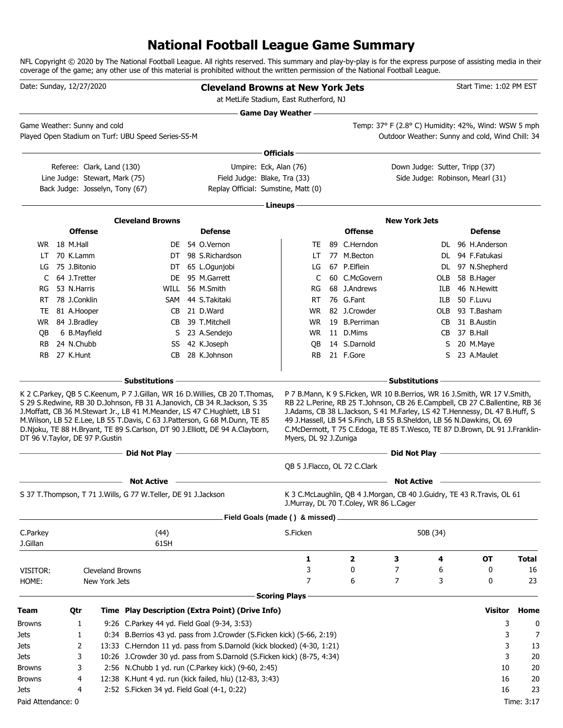## **National Football League Game Summary**

NFL Copyright © 2020 by The National Football League. All rights reserved. This summary and play-by-play is for the express purpose of assisting media in their coverage of the game; any other use of this material is prohibited without the written permission of the National Football League.

| Date: Sunday, 12/27/2020       |                |                                                                   |                                                                   | <b>Cleveland Browns at New York Jets</b><br>at MetLife Stadium, East Rutherford, NJ                                                                                                                                                                                                                                                                                                                                                                                                                                                                        |                       |                                        |                                                                                                                                                                                                                                                                                                                  |     | Start Time: 1:02 PM EST |              |
|--------------------------------|----------------|-------------------------------------------------------------------|-------------------------------------------------------------------|------------------------------------------------------------------------------------------------------------------------------------------------------------------------------------------------------------------------------------------------------------------------------------------------------------------------------------------------------------------------------------------------------------------------------------------------------------------------------------------------------------------------------------------------------------|-----------------------|----------------------------------------|------------------------------------------------------------------------------------------------------------------------------------------------------------------------------------------------------------------------------------------------------------------------------------------------------------------|-----|-------------------------|--------------|
| Game Weather: Sunny and cold   |                |                                                                   | Played Open Stadium on Turf: UBU Speed Series-S5-M                |                                                                                                                                                                                                                                                                                                                                                                                                                                                                                                                                                            | Game Day Weather —    |                                        | Temp: 37° F (2.8° C) Humidity: 42%, Wind: WSW 5 mph<br>Outdoor Weather: Sunny and cold, Wind Chill: 34                                                                                                                                                                                                           |     |                         |              |
|                                |                |                                                                   |                                                                   |                                                                                                                                                                                                                                                                                                                                                                                                                                                                                                                                                            | Officials $-$         |                                        |                                                                                                                                                                                                                                                                                                                  |     |                         |              |
|                                |                | Referee: Clark, Land (130)                                        |                                                                   | Umpire: Eck, Alan (76)                                                                                                                                                                                                                                                                                                                                                                                                                                                                                                                                     |                       |                                        | Down Judge: Sutter, Tripp (37)                                                                                                                                                                                                                                                                                   |     |                         |              |
|                                |                | Line Judge: Stewart, Mark (75)<br>Back Judge: Josselyn, Tony (67) |                                                                   | Field Judge: Blake, Tra (33)<br>Replay Official: Sumstine, Matt (0)                                                                                                                                                                                                                                                                                                                                                                                                                                                                                        |                       |                                        | Side Judge: Robinson, Mearl (31)                                                                                                                                                                                                                                                                                 |     |                         |              |
|                                |                |                                                                   |                                                                   |                                                                                                                                                                                                                                                                                                                                                                                                                                                                                                                                                            | Lineups -             |                                        |                                                                                                                                                                                                                                                                                                                  |     |                         |              |
|                                |                |                                                                   | <b>Cleveland Browns</b>                                           |                                                                                                                                                                                                                                                                                                                                                                                                                                                                                                                                                            |                       |                                        | <b>New York Jets</b>                                                                                                                                                                                                                                                                                             |     |                         |              |
|                                | <b>Offense</b> |                                                                   |                                                                   | <b>Defense</b>                                                                                                                                                                                                                                                                                                                                                                                                                                                                                                                                             |                       | <b>Offense</b>                         |                                                                                                                                                                                                                                                                                                                  |     | <b>Defense</b>          |              |
|                                | WR 18 M.Hall   |                                                                   | DE.                                                               | 54 O.Vernon                                                                                                                                                                                                                                                                                                                                                                                                                                                                                                                                                | TE                    | 89 C.Herndon                           |                                                                                                                                                                                                                                                                                                                  |     | DL 96 H.Anderson        |              |
| LT                             | 70 K.Lamm      |                                                                   |                                                                   | DT 98 S.Richardson                                                                                                                                                                                                                                                                                                                                                                                                                                                                                                                                         | LT.                   | 77 M.Becton                            |                                                                                                                                                                                                                                                                                                                  |     | DL 94 F.Fatukasi        |              |
| LG                             | 75 J.Bitonio   |                                                                   |                                                                   | DT 65 L.Ogunjobi                                                                                                                                                                                                                                                                                                                                                                                                                                                                                                                                           | LG                    | 67 P.Elflein                           |                                                                                                                                                                                                                                                                                                                  |     | DL 97 N.Shepherd        |              |
| C                              | 64 J.Tretter   |                                                                   | DE.                                                               | 95 M.Garrett                                                                                                                                                                                                                                                                                                                                                                                                                                                                                                                                               | C                     | 60 C.McGovern                          |                                                                                                                                                                                                                                                                                                                  | OLB | 58 B.Hager              |              |
| RG                             | 53 N.Harris    |                                                                   | WILL                                                              | 56 M.Smith                                                                                                                                                                                                                                                                                                                                                                                                                                                                                                                                                 | RG                    | 68 J.Andrews                           |                                                                                                                                                                                                                                                                                                                  | ILB | 46 N.Hewitt             |              |
| RT                             | 78 J.Conklin   |                                                                   |                                                                   | SAM 44 S.Takitaki                                                                                                                                                                                                                                                                                                                                                                                                                                                                                                                                          | RT.                   | 76 G.Fant                              |                                                                                                                                                                                                                                                                                                                  | ILB | 50 F.Luvu               |              |
| TE                             | 81 A.Hooper    |                                                                   | CB                                                                | 21 D.Ward                                                                                                                                                                                                                                                                                                                                                                                                                                                                                                                                                  | <b>WR</b>             | 82 J.Crowder                           |                                                                                                                                                                                                                                                                                                                  |     | OLB 93 T.Basham         |              |
| WR                             | 84 J.Bradley   |                                                                   | CB                                                                | 39 T.Mitchell                                                                                                                                                                                                                                                                                                                                                                                                                                                                                                                                              | WR.                   | 19 B.Perriman                          |                                                                                                                                                                                                                                                                                                                  | CB  | 31 B.Austin             |              |
| QB                             | 6 B.Mayfield   |                                                                   | S                                                                 | 23 A.Sendejo                                                                                                                                                                                                                                                                                                                                                                                                                                                                                                                                               | WR                    | 11 D.Mims                              |                                                                                                                                                                                                                                                                                                                  |     | CB 37 B.Hall            |              |
| <b>RB</b>                      | 24 N.Chubb     |                                                                   | SS                                                                | 42 K.Joseph                                                                                                                                                                                                                                                                                                                                                                                                                                                                                                                                                | QB                    | 14 S.Darnold                           |                                                                                                                                                                                                                                                                                                                  | S   | 20 M.Maye               |              |
| <b>RB</b>                      | 27 K.Hunt      |                                                                   | CB                                                                | 28 K.Johnson                                                                                                                                                                                                                                                                                                                                                                                                                                                                                                                                               | RB.                   | 21 F.Gore                              |                                                                                                                                                                                                                                                                                                                  | S   | 23 A.Maulet             |              |
|                                |                |                                                                   | - Substitutions                                                   |                                                                                                                                                                                                                                                                                                                                                                                                                                                                                                                                                            |                       |                                        | <b>Substitutions</b>                                                                                                                                                                                                                                                                                             |     |                         |              |
| DT 96 V.Taylor, DE 97 P.Gustin |                |                                                                   |                                                                   | S 29 S.Redwine, RB 30 D.Johnson, FB 31 A.Janovich, CB 34 R.Jackson, S 35<br>J.Moffatt, CB 36 M.Stewart Jr., LB 41 M.Meander, LS 47 C.Hughlett, LB 51<br>M.Wilson, LB 52 E.Lee, LB 55 T.Davis, C 63 J.Patterson, G 68 M.Dunn, TE 85<br>D.Njoku, TE 88 H.Bryant, TE 89 S.Carlson, DT 90 J.Elliott, DE 94 A.Clayborn,<br><u>Did Not Play and the Community of the Community of the Community of the Community of the Community of the Community of the Community of the Community of the Community of the Community of the Community of the Community of </u> | Myers, DL 92 J.Zuniga |                                        | RB 22 L.Perine, RB 25 T.Johnson, CB 26 E.Campbell, CB 27 C.Ballentine, RB 36<br>J.Adams, CB 38 L.Jackson, S 41 M.Farley, LS 42 T.Hennessy, DL 47 B.Huff, S<br>49 J.Hassell, LB 54 S.Finch, LB 55 B.Sheldon, LB 56 N.Dawkins, OL 69<br>C.McDermott, T 75 C.Edoga, TE 85 T.Wesco, TE 87 D.Brown, DL 91 J.Franklin- |     |                         |              |
|                                |                |                                                                   | $-$ Did Not Play $-$                                              |                                                                                                                                                                                                                                                                                                                                                                                                                                                                                                                                                            |                       |                                        |                                                                                                                                                                                                                                                                                                                  |     |                         |              |
|                                |                |                                                                   |                                                                   |                                                                                                                                                                                                                                                                                                                                                                                                                                                                                                                                                            |                       | QB 5 J.Flacco, OL 72 C.Clark           |                                                                                                                                                                                                                                                                                                                  |     |                         |              |
|                                |                |                                                                   | <b>Not Active</b>                                                 |                                                                                                                                                                                                                                                                                                                                                                                                                                                                                                                                                            |                       |                                        | <b>Not Active</b>                                                                                                                                                                                                                                                                                                |     |                         |              |
|                                |                |                                                                   | S 37 T. Thompson, T 71 J. Wills, G 77 W. Teller, DE 91 J. Jackson |                                                                                                                                                                                                                                                                                                                                                                                                                                                                                                                                                            |                       | J.Murray, DL 70 T.Coley, WR 86 L.Cager | K 3 C.McLaughlin, QB 4 J.Morgan, CB 40 J.Guidry, TE 43 R.Travis, OL 61                                                                                                                                                                                                                                           |     |                         |              |
|                                |                |                                                                   |                                                                   | Field Goals (made () & missed) _                                                                                                                                                                                                                                                                                                                                                                                                                                                                                                                           |                       |                                        |                                                                                                                                                                                                                                                                                                                  |     |                         |              |
| C.Parkey                       |                |                                                                   | (44)                                                              |                                                                                                                                                                                                                                                                                                                                                                                                                                                                                                                                                            | S.Ficken              |                                        | 50B (34)                                                                                                                                                                                                                                                                                                         |     |                         |              |
| J.Gillan                       |                |                                                                   | 61SH                                                              |                                                                                                                                                                                                                                                                                                                                                                                                                                                                                                                                                            |                       |                                        |                                                                                                                                                                                                                                                                                                                  |     |                         |              |
|                                |                |                                                                   |                                                                   |                                                                                                                                                                                                                                                                                                                                                                                                                                                                                                                                                            | 1                     | 2                                      | 3                                                                                                                                                                                                                                                                                                                | 4   | OT                      | <b>Total</b> |
| VISITOR:                       |                | Cleveland Browns                                                  |                                                                   |                                                                                                                                                                                                                                                                                                                                                                                                                                                                                                                                                            | 3                     | 0                                      | 7                                                                                                                                                                                                                                                                                                                | 6   | 0                       | 16           |
| HOME:                          |                | New York Jets                                                     |                                                                   |                                                                                                                                                                                                                                                                                                                                                                                                                                                                                                                                                            | 7                     | 6                                      | 7                                                                                                                                                                                                                                                                                                                | 3   | 0                       | 23           |
|                                |                |                                                                   |                                                                   |                                                                                                                                                                                                                                                                                                                                                                                                                                                                                                                                                            | <b>Scoring Plays</b>  |                                        |                                                                                                                                                                                                                                                                                                                  |     |                         |              |
| <b>Team</b>                    | Qtr            |                                                                   |                                                                   | Time Play Description (Extra Point) (Drive Info)                                                                                                                                                                                                                                                                                                                                                                                                                                                                                                           |                       |                                        |                                                                                                                                                                                                                                                                                                                  |     | Visitor                 | Home         |
| <b>Browns</b>                  | 1              |                                                                   | 9:26 C.Parkey 44 yd. Field Goal (9-34, 3:53)                      |                                                                                                                                                                                                                                                                                                                                                                                                                                                                                                                                                            |                       |                                        |                                                                                                                                                                                                                                                                                                                  |     | 3                       | 0            |
| Jets                           | 1              |                                                                   |                                                                   | 0:34 B.Berrios 43 yd. pass from J.Crowder (S.Ficken kick) (5-66, 2:19)                                                                                                                                                                                                                                                                                                                                                                                                                                                                                     |                       |                                        |                                                                                                                                                                                                                                                                                                                  |     | 3                       | 7            |
| Jets                           | 2              |                                                                   |                                                                   | 13:33 C.Herndon 11 yd. pass from S.Darnold (kick blocked) (4-30, 1:21)                                                                                                                                                                                                                                                                                                                                                                                                                                                                                     |                       |                                        |                                                                                                                                                                                                                                                                                                                  |     | 3                       | 13           |
| Jets                           | 3              |                                                                   |                                                                   | 10:26 J.Crowder 30 yd. pass from S.Darnold (S.Ficken kick) (8-75, 4:34)                                                                                                                                                                                                                                                                                                                                                                                                                                                                                    |                       |                                        |                                                                                                                                                                                                                                                                                                                  |     | 3                       | 20           |
| <b>Browns</b>                  | 3              |                                                                   |                                                                   | 2:56 N.Chubb 1 yd. run (C.Parkey kick) (9-60, 2:45)                                                                                                                                                                                                                                                                                                                                                                                                                                                                                                        |                       |                                        |                                                                                                                                                                                                                                                                                                                  |     | 10                      | 20           |
| <b>Browns</b>                  | 4              |                                                                   |                                                                   | 12:38 K.Hunt 4 yd. run (kick failed, hlu) (12-83, 3:43)                                                                                                                                                                                                                                                                                                                                                                                                                                                                                                    |                       |                                        |                                                                                                                                                                                                                                                                                                                  |     | 16                      | 20           |
| Jets                           | 4              |                                                                   | 2:52 S.Ficken 34 yd. Field Goal (4-1, 0:22)                       |                                                                                                                                                                                                                                                                                                                                                                                                                                                                                                                                                            |                       |                                        |                                                                                                                                                                                                                                                                                                                  |     | 16                      | 23           |
| Paid Attendance: 0             |                |                                                                   |                                                                   |                                                                                                                                                                                                                                                                                                                                                                                                                                                                                                                                                            |                       |                                        |                                                                                                                                                                                                                                                                                                                  |     |                         | Time: 3:17   |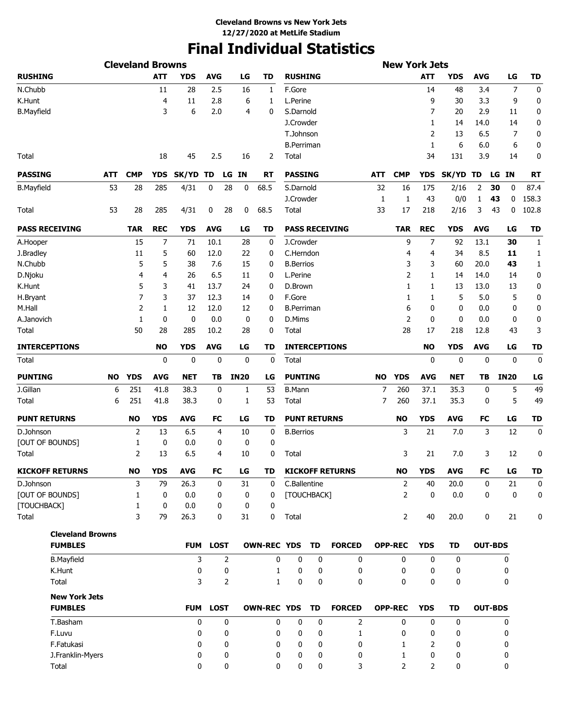# **Final Individual Statistics**

| <b>Cleveland Browns</b> |           |              |            |              |             |                |             |                    |                   |                     |                        |           | <b>New York Jets</b> |                |            |            |                 |              |
|-------------------------|-----------|--------------|------------|--------------|-------------|----------------|-------------|--------------------|-------------------|---------------------|------------------------|-----------|----------------------|----------------|------------|------------|-----------------|--------------|
| <b>RUSHING</b>          |           |              | <b>ATT</b> | <b>YDS</b>   | <b>AVG</b>  |                | LG          | <b>TD</b>          | <b>RUSHING</b>    |                     |                        |           |                      | <b>ATT</b>     | <b>YDS</b> | <b>AVG</b> | LG              | TD           |
| N.Chubb                 |           |              | 11         | 28           | 2.5         |                | 16          | 1                  | F.Gore            |                     |                        |           |                      | 14             | 48         | 3.4        | 7               | 0            |
| K.Hunt                  |           |              | 4          | 11           | 2.8         |                | 6           | 1                  | L.Perine          |                     |                        |           |                      | 9              | 30         | 3.3        | 9               | 0            |
| <b>B.Mayfield</b>       |           |              | 3          | 6            | 2.0         |                | 4           | 0                  | S.Darnold         |                     |                        |           |                      | 7              | 20         | 2.9        | 11              | 0            |
|                         |           |              |            |              |             |                |             |                    | J.Crowder         |                     |                        |           |                      | 1              | 14         | 14.0       | 14              | 0            |
|                         |           |              |            |              |             |                |             |                    | T.Johnson         |                     |                        |           |                      | 2              | 13         | 6.5        | 7               | 0            |
|                         |           |              |            |              |             |                |             |                    | <b>B.Perriman</b> |                     |                        |           |                      | $\mathbf{1}$   | 6          | 6.0        | 6               | 0            |
| Total                   |           |              | 18         | 45           | 2.5         |                | 16          | 2                  | Total             |                     |                        |           |                      | 34             | 131        | 3.9        | 14              | 0            |
| <b>PASSING</b>          | ATT       | <b>CMP</b>   | <b>YDS</b> | SK/YD TD     |             | LG             | ΙN          | RT                 | <b>PASSING</b>    |                     |                        | ATT       | <b>CMP</b>           | <b>YDS</b>     | SK/YD TD   |            | <b>IN</b><br>LG | <b>RT</b>    |
| <b>B.Mayfield</b>       | 53        | 28           | 285        | 4/31         | 0           | 28             | 0           | 68.5               | S.Darnold         |                     |                        | 32        | 16                   | 175            | 2/16       | 2          | 30<br>0         | 87.4         |
|                         |           |              |            |              |             |                |             |                    | J.Crowder         |                     |                        | 1         | 1                    | 43             | 0/0        | 1          | 43<br>0         | 158.3        |
| Total                   | 53        | 28           | 285        | 4/31         | 0           | 28             | 0           | 68.5               | Total             |                     |                        | 33        | 17                   | 218            | 2/16       | 3          | 43<br>0         | 102.8        |
| <b>PASS RECEIVING</b>   |           | <b>TAR</b>   | <b>REC</b> | <b>YDS</b>   | <b>AVG</b>  |                | LG          | TD                 |                   |                     | <b>PASS RECEIVING</b>  |           | <b>TAR</b>           | <b>REC</b>     | <b>YDS</b> | <b>AVG</b> | LG              | <b>TD</b>    |
| A.Hooper                |           | 15           | 7          | 71           | 10.1        |                | 28          | 0                  | J.Crowder         |                     |                        |           | 9                    | 7              | 92         | 13.1       | 30              | 1            |
| J.Bradley               |           | 11           | 5          | 60           | 12.0        |                | 22          | 0                  | C.Herndon         |                     |                        |           | 4                    | 4              | 34         | 8.5        | 11              | 1            |
| N.Chubb                 |           | 5            | 5          | 38           | 7.6         |                | 15          | 0                  | <b>B.Berrios</b>  |                     |                        |           | 3                    | 3              | 60         | 20.0       | 43              | $\mathbf{1}$ |
| D.Njoku                 |           | 4            | 4          | 26           | 6.5         |                | 11          | 0                  | L.Perine          |                     |                        |           | $\overline{2}$       | 1              | 14         | 14.0       | 14              | 0            |
| K.Hunt                  |           | 5            | 3          | 41           | 13.7        |                | 24          | 0                  | D.Brown           |                     |                        |           | 1                    | 1              | 13         | 13.0       | 13              | 0            |
| H.Bryant                |           | 7            | 3          | 37           | 12.3        |                | 14          | 0                  | F.Gore            |                     |                        |           | 1                    | 1              | 5          | 5.0        | 5               | 0            |
| M.Hall                  |           | 2            | 1          | 12           | 12.0        |                | 12          | 0                  | <b>B.Perriman</b> |                     |                        |           | 6                    | 0              | 0          | 0.0        | 0               | 0            |
| A.Janovich              |           | 1            | 0          | 0            | 0.0         |                | 0           | 0                  | D.Mims            |                     |                        |           | $\overline{2}$       | 0              | 0          | 0.0        | 0               | 0            |
| Total                   |           | 50           | 28         | 285          | 10.2        |                | 28          | 0                  | Total             |                     |                        |           | 28                   | 17             | 218        | 12.8       | 43              | 3            |
| <b>INTERCEPTIONS</b>    |           |              | <b>NO</b>  | <b>YDS</b>   | <b>AVG</b>  |                | LG          | TD                 |                   |                     | <b>INTERCEPTIONS</b>   |           |                      | <b>NO</b>      | <b>YDS</b> | <b>AVG</b> | LG              | <b>TD</b>    |
| Total                   |           |              | 0          | 0            | 0           |                | 0           | 0                  | Total             |                     |                        |           |                      | 0              | 0          | 0          | 0               | 0            |
| <b>PUNTING</b>          | <b>NO</b> | <b>YDS</b>   | <b>AVG</b> | <b>NET</b>   | TВ          |                | <b>IN20</b> | LG                 | <b>PUNTING</b>    |                     |                        | <b>NO</b> | <b>YDS</b>           | <b>AVG</b>     | NET        | TВ         | <b>IN20</b>     | LG           |
| J.Gillan                | 6         | 251          | 41.8       | 38.3         | 0           |                | 1           | 53                 | <b>B.Mann</b>     |                     |                        | 7         | 260                  | 37.1           | 35.3       | 0          | 5               | 49           |
| Total                   | 6         | 251          | 41.8       | 38.3         | 0           |                | 1           | 53                 | Total             |                     |                        | 7         | 260                  | 37.1           | 35.3       | 0          | 5               | 49           |
| <b>PUNT RETURNS</b>     |           | <b>NO</b>    | <b>YDS</b> | <b>AVG</b>   | FC          |                | LG          | TD                 |                   | <b>PUNT RETURNS</b> |                        |           | <b>NO</b>            | <b>YDS</b>     | <b>AVG</b> | FC         | LG              | TD           |
| D.Johnson               |           | 2            | 13         | 6.5          | 4           |                | 10          | 0                  | <b>B.</b> Berrios |                     |                        |           | 3                    | 21             | 7.0        | 3          | 12              | 0            |
| [OUT OF BOUNDS]         |           | 1            | 0          | 0.0          | 0           |                | 0           | 0                  |                   |                     |                        |           |                      |                |            |            |                 |              |
| Total                   |           | 2            | 13         | 6.5          | 4           |                | 10          | 0                  | Total             |                     |                        |           | 3                    | 21             | 7.0        | 3          | 12              | 0            |
| <b>KICKOFF RETURNS</b>  |           | <b>NO</b>    | <b>YDS</b> | <b>AVG</b>   | FC          |                | LG          | TD                 |                   |                     | <b>KICKOFF RETURNS</b> |           | <b>NO</b>            | <b>YDS</b>     | <b>AVG</b> | FC         | LG              | TD           |
| D.Johnson               |           | 3            | 79         | 26.3         | 0           |                | 31          | 0                  | C.Ballentine      |                     |                        |           | $\overline{2}$       | 40             | 20.0       | 0          | 21              | $\mathbf 0$  |
| [OUT OF BOUNDS]         |           | $\mathbf{1}$ | 0          | 0.0          | 0           |                | 0           | 0                  | [TOUCHBACK]       |                     |                        |           | $\overline{2}$       | 0              | 0.0        | 0          | 0               | 0            |
| [TOUCHBACK]             |           | $\mathbf{1}$ | 0          | 0.0          |             | 0              | 0           | 0                  |                   |                     |                        |           |                      |                |            |            |                 |              |
| Total                   |           | 3            | 79         | 26.3         |             | 0              | 31          | 0                  | Total             |                     |                        |           | $\overline{2}$       | 40             | 20.0       | 0          | 21              | 0            |
| <b>Cleveland Browns</b> |           |              |            |              |             |                |             |                    |                   |                     |                        |           |                      |                |            |            |                 |              |
| <b>FUMBLES</b>          |           |              |            | <b>FUM</b>   | <b>LOST</b> |                |             | <b>OWN-REC YDS</b> |                   | TD                  | <b>FORCED</b>          |           | <b>OPP-REC</b>       | <b>YDS</b>     | TD         |            | <b>OUT-BDS</b>  |              |
| <b>B.Mayfield</b>       |           |              |            | 3            |             | 2              |             | 0                  | 0                 | 0                   | 0                      |           | 0                    | 0              | 0          |            | 0               |              |
| K.Hunt                  |           |              |            | 0            |             | 0              |             | 1                  | 0                 | 0                   | 0                      |           | 0                    | 0              | 0          |            | 0               |              |
| Total                   |           |              |            | 3            |             | $\overline{2}$ |             | $\mathbf{1}$       | 0                 | 0                   | 0                      |           | 0                    | 0              | 0          |            | 0               |              |
| <b>New York Jets</b>    |           |              |            |              |             |                |             |                    |                   |                     |                        |           |                      |                |            |            |                 |              |
| <b>FUMBLES</b>          |           |              |            | <b>FUM</b>   | <b>LOST</b> |                |             | <b>OWN-REC YDS</b> |                   | TD                  | <b>FORCED</b>          |           | <b>OPP-REC</b>       | <b>YDS</b>     | TD         |            | <b>OUT-BDS</b>  |              |
| T.Basham                |           |              |            | $\mathbf 0$  |             | 0              |             | 0                  | 0                 | 0                   | 2                      |           | 0                    | 0              | 0          |            | 0               |              |
| F.Luvu                  |           |              |            | 0            |             | 0              |             | 0                  | 0                 | 0                   | 1                      |           | 0                    | 0              | 0          |            | 0               |              |
| F.Fatukasi              |           |              |            | 0            |             | 0              |             | 0                  | 0                 | 0                   | 0                      |           | 1                    | 2              | 0          |            | 0               |              |
| J.Franklin-Myers        |           |              |            | 0            |             | 0              |             | 0                  | 0                 | 0                   | 0                      |           | 1                    | 0              | 0          |            | 0               |              |
| Total                   |           |              |            | $\mathbf{0}$ |             | 0              |             | 0                  | 0                 | 0                   | 3                      |           | $\overline{2}$       | $\overline{2}$ | 0          |            | 0               |              |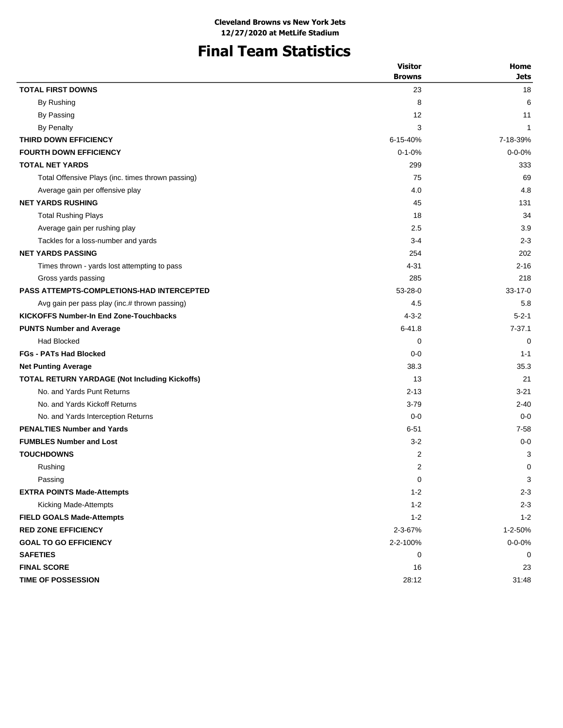# **Final Team Statistics**

|                                                   | <b>Visitor</b> | Home          |
|---------------------------------------------------|----------------|---------------|
|                                                   | <b>Browns</b>  | <b>Jets</b>   |
| <b>TOTAL FIRST DOWNS</b>                          | 23             | 18            |
| By Rushing                                        | 8              | 6             |
| By Passing                                        | 12             | 11            |
| <b>By Penalty</b>                                 | 3              | $\mathbf{1}$  |
| THIRD DOWN EFFICIENCY                             | 6-15-40%       | 7-18-39%      |
| <b>FOURTH DOWN EFFICIENCY</b>                     | $0 - 1 - 0%$   | $0 - 0 - 0%$  |
| <b>TOTAL NET YARDS</b>                            | 299            | 333           |
| Total Offensive Plays (inc. times thrown passing) | 75             | 69            |
| Average gain per offensive play                   | 4.0            | 4.8           |
| <b>NET YARDS RUSHING</b>                          | 45             | 131           |
| <b>Total Rushing Plays</b>                        | 18             | 34            |
| Average gain per rushing play                     | 2.5            | 3.9           |
| Tackles for a loss-number and yards               | $3 - 4$        | $2 - 3$       |
| <b>NET YARDS PASSING</b>                          | 254            | 202           |
| Times thrown - yards lost attempting to pass      | 4-31           | $2 - 16$      |
| Gross yards passing                               | 285            | 218           |
| <b>PASS ATTEMPTS-COMPLETIONS-HAD INTERCEPTED</b>  | $53 - 28 - 0$  | $33 - 17 - 0$ |
| Avg gain per pass play (inc.# thrown passing)     | 4.5            | 5.8           |
| <b>KICKOFFS Number-In End Zone-Touchbacks</b>     | $4 - 3 - 2$    | $5 - 2 - 1$   |
| <b>PUNTS Number and Average</b>                   | $6 - 41.8$     | $7 - 37.1$    |
| <b>Had Blocked</b>                                | 0              | 0             |
| <b>FGs - PATs Had Blocked</b>                     | $0 - 0$        | $1 - 1$       |
| <b>Net Punting Average</b>                        | 38.3           | 35.3          |
| TOTAL RETURN YARDAGE (Not Including Kickoffs)     | 13             | 21            |
| No. and Yards Punt Returns                        | $2 - 13$       | $3 - 21$      |
| No. and Yards Kickoff Returns                     | $3 - 79$       | $2 - 40$      |
| No. and Yards Interception Returns                | $0 - 0$        | $0 - 0$       |
| <b>PENALTIES Number and Yards</b>                 | $6 - 51$       | $7 - 58$      |
| <b>FUMBLES Number and Lost</b>                    | $3-2$          | $0 - 0$       |
| <b>TOUCHDOWNS</b>                                 | $\overline{2}$ | 3             |
| Rushing                                           | $\overline{2}$ | 0             |
| Passing                                           | 0              | 3             |
| <b>EXTRA POINTS Made-Attempts</b>                 | $1 - 2$        | $2 - 3$       |
| Kicking Made-Attempts                             | $1 - 2$        | $2 - 3$       |
| <b>FIELD GOALS Made-Attempts</b>                  | $1 - 2$        | $1 - 2$       |
| <b>RED ZONE EFFICIENCY</b>                        | 2-3-67%        | 1-2-50%       |
| <b>GOAL TO GO EFFICIENCY</b>                      | 2-2-100%       | $0 - 0 - 0\%$ |
| <b>SAFETIES</b>                                   | 0              | 0             |
| <b>FINAL SCORE</b>                                | 16             | 23            |
| TIME OF POSSESSION                                | 28:12          | 31:48         |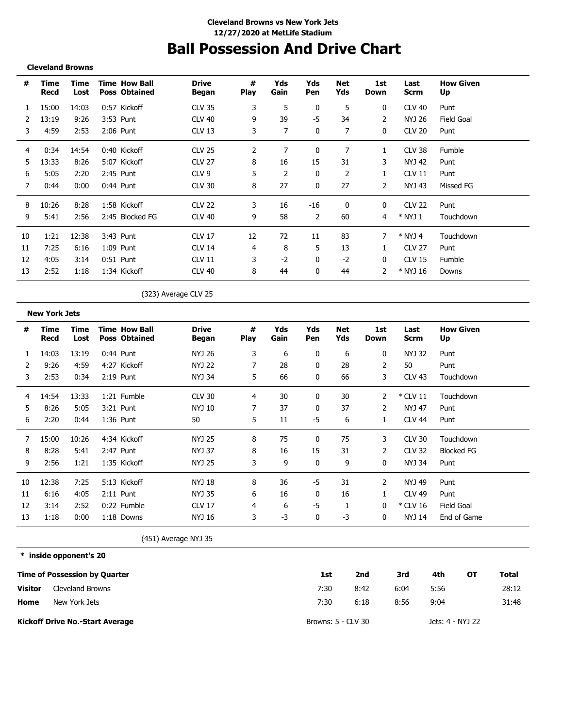## **Ball Possession And Drive Chart**

#### **Cleveland Browns**

| #  | Time<br>Recd | Time<br>Lost | <b>Time How Ball</b><br><b>Poss Obtained</b> | <b>Drive</b><br>Began | #<br><b>Play</b> | Yds<br>Gain    | Yds<br>Pen | Net<br>Yds   | 1st<br>Down    | Last<br><b>Scrm</b> | <b>How Given</b><br>Up |
|----|--------------|--------------|----------------------------------------------|-----------------------|------------------|----------------|------------|--------------|----------------|---------------------|------------------------|
| 1  | 15:00        | 14:03        | 0:57 Kickoff                                 | <b>CLV 35</b>         | 3                | 5              | 0          | 5            | 0              | <b>CLV 40</b>       | Punt                   |
| 2  | 13:19        | 9:26         | 3:53 Punt                                    | <b>CLV 40</b>         | 9                | 39             | -5         | 34           | 2              | NYJ 26              | Field Goal             |
| 3  | 4:59         | 2:53         | $2:06$ Punt                                  | <b>CLV 13</b>         | 3                | 7              | 0          | 7            | 0              | <b>CLV 20</b>       | Punt                   |
| 4  | 0:34         | 14:54        | 0:40 Kickoff                                 | <b>CLV 25</b>         | 2                | 7              | 0          | 7            | 1              | <b>CLV 38</b>       | Fumble                 |
| 5  | 13:33        | 8:26         | 5:07 Kickoff                                 | <b>CLV 27</b>         | 8                | 16             | 15         | 31           | 3              | NYJ 42              | Punt                   |
| 6  | 5:05         | 2:20         | 2:45 Punt                                    | CLV <sub>9</sub>      | 5                | $\overline{2}$ | 0          | 2            | 1              | <b>CLV 11</b>       | Punt                   |
| 7  | 0:44         | 0:00         | $0:44$ Punt                                  | <b>CLV 30</b>         | 8                | 27             | 0          | 27           | $\overline{2}$ | NYJ 43              | Missed FG              |
| 8  | 10:26        | 8:28         | 1:58 Kickoff                                 | <b>CLV 22</b>         | 3                | 16             | $-16$      | $\mathbf{0}$ | 0              | <b>CLV 22</b>       | Punt                   |
| 9  | 5:41         | 2:56         | 2:45 Blocked FG                              | <b>CLV 40</b>         | 9                | 58             | 2          | 60           | 4              | * NYJ 1             | Touchdown              |
| 10 | 1:21         | 12:38        | 3:43 Punt                                    | <b>CLV 17</b>         | 12               | 72             | 11         | 83           |                | $*$ NYJ 4           | Touchdown              |
| 11 | 7:25         | 6:16         | $1:09$ Punt                                  | <b>CLV 14</b>         | 4                | 8              | 5          | 13           |                | <b>CLV 27</b>       | Punt                   |
| 12 | 4:05         | 3:14         | $0:51$ Punt                                  | <b>CLV 11</b>         | 3                | $-2$           | 0          | $-2$         | 0              | <b>CLV 15</b>       | Fumble                 |
| 13 | 2:52         | 1:18         | 1:34 Kickoff                                 | <b>CLV 40</b>         | 8                | 44             | 0          | 44           | 2              | * NYJ 16            | Downs                  |

(323) Average CLV 25

**New York Jets # Time Time Drive # Yds Yds Net 1st Last How Given Time How Ball Play Recd Lost Began Gain Pen Yds Down Scrm Poss Obtained Up** 1 14:03 13:19 0:44 Punt NYJ 26 3 6 0 6 0 NYJ 32 Punt 2 9:26 4:59 4:27 Kickoff NYJ 22 7 28 0 28 2 50 Punt 3 2:53 0:34 2:19 Punt NYJ 34 5 66 0 66 3 CLV 43 Touchdown ----------------------------------\_\_\_\_\_\_\_\_\_\_\_ -----------4 14:54 13:33 1:21 Fumble CLV 30 4 30 0 30 2 \* CLV 11 Touchdown 5 8:26 5:05 3:21 Punt NYJ 10 7 37 0 37 2 NYJ 47 Punt 6 2:20 0:44 1:36 Punt 50 5 11 -5 6 1 CLV 44 Punt 7 15:00 10:26 4:34 Kickoff NYJ 25 8 75 0 75 3 CLV 30 Touchdown 8 8:28 5:41 2:47 Punt NYJ 37 8 16 15 31 2 CLV 32 Blocked FG 9 2:56 1:21 1:35 Kickoff NYJ 25 3 9 0 9 0 NYJ 34 Punt -----------. . . . \_\_\_\_\_\_\_\_\_\_\_\_ 10 12:38 7:25 5:13 Kickoff NYJ 18 8 36 -5 31 2 NYJ 49 Punt 11 6:16 4:05 2:11 Punt NYJ 35 6 16 0 16 1 CLV 49 Punt 12 3:14 2:52 0:22 Fumble CLV 17 4 6 -5 1 0 \* CLV 16 Field Goal 13 1:18 0:00 1:18 Downs NYJ 16 3 -3 0 -3 0 NYJ 14 End of Game

(451) Average NYJ 35

**\* inside opponent's 20**

|                | Time of Possession by Quarter          | 1st                | 2nd  | 3rd  | 4th              | OТ | Total |
|----------------|----------------------------------------|--------------------|------|------|------------------|----|-------|
| <b>Visitor</b> | Cleveland Browns                       | 7:30               | 8:42 | 6:04 | 5:56             |    | 28:12 |
| Home           | New York Jets                          | 7:30               | 6:18 | 8:56 | 9:04             |    | 31:48 |
|                | <b>Kickoff Drive No.-Start Average</b> | Browns: 5 - CLV 30 |      |      | Jets: 4 - NYJ 22 |    |       |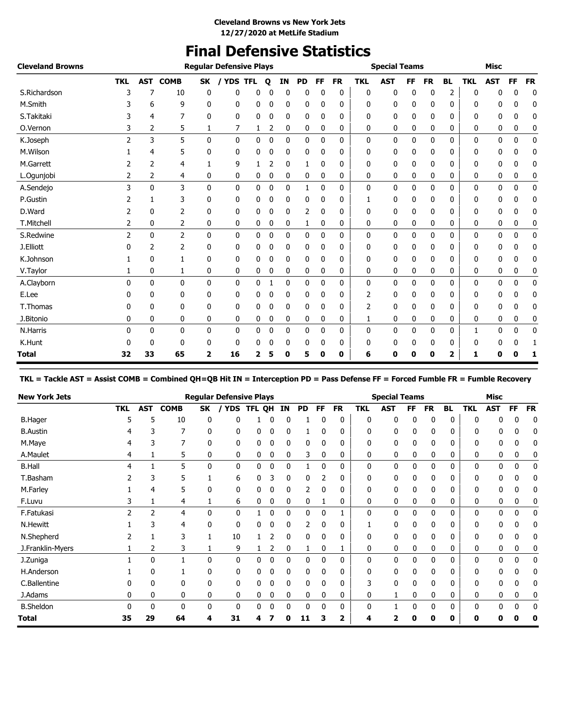# **Final Defensive Statistics**

| <b>Cleveland Browns</b> |                          |              |                |                | <b>Regular Defensive Plays</b> |   |             |    |    |              |           |            | <b>Special Teams</b> |           |           |           |              | <b>Misc</b> |           |              |
|-------------------------|--------------------------|--------------|----------------|----------------|--------------------------------|---|-------------|----|----|--------------|-----------|------------|----------------------|-----------|-----------|-----------|--------------|-------------|-----------|--------------|
|                         | <b>TKL</b>               | <b>AST</b>   | <b>COMB</b>    | <b>SK</b>      | / YDS TFL                      |   | $\mathbf o$ | IN | PD | FF           | <b>FR</b> | <b>TKL</b> | <b>AST</b>           | <b>FF</b> | <b>FR</b> | <b>BL</b> | <b>TKL</b>   | <b>AST</b>  | <b>FF</b> | <b>FR</b>    |
| S.Richardson            | 3                        | 7            | 10             | 0              | 0                              | 0 | 0           | 0  | 0  | 0            | 0         | 0          | 0                    | 0         | 0         | 2         | 0            | 0           | 0         | 0            |
| M.Smith                 |                          | 6            | 9              | 0              | 0                              | 0 | 0           | 0  | 0  | 0            | 0         | 0          | 0                    | 0         | 0         | 0         | ŋ            | 0           | 0         | 0            |
| S.Takitaki              |                          | 4            | 7              | 0              | 0                              | 0 | 0           | 0  | 0  | 0            | 0         | 0          | 0                    | 0         | 0         | 0         | 0            | 0           | 0         | 0            |
| O.Vernon                | 3                        | 2            | 5              | 1              | 7                              | 1 | 2           | 0  | 0  | 0            | 0         | 0          | 0                    | 0         | 0         | 0         | 0            | 0           | 0         | 0            |
| K.Joseph                | $\overline{\phantom{a}}$ | 3            | 5              | $\mathbf{0}$   | 0                              | 0 | 0           | 0  | 0  | 0            | 0         | 0          | $\mathbf 0$          | 0         | 0         | 0         | $\mathbf{0}$ | 0           | 0         | $\mathbf 0$  |
| M.Wilson                |                          | 4            | 5              | 0              | 0                              | 0 | 0           | 0  | 0  | $\Omega$     | 0         | 0          | 0                    | 0         | 0         | 0         | 0            | 0           | ŋ         | 0            |
| M.Garrett               |                          | 2            | 4              |                | 9                              |   | 2           | 0  |    | 0            | 0         | 0          | 0                    | 0         | 0         | 0         | 0            | 0           | 0         | 0            |
| L.Ogunjobi              | 2                        | 2            | 4              | 0              | 0                              | 0 | 0           | 0  | 0  | 0            | 0         | 0          | 0                    | 0         | 0         | 0         | 0            | 0           | 0         | 0            |
| A.Sendejo               | 3                        | $\mathbf{0}$ | 3              | 0              | 0                              | 0 | 0           | 0  | 1  | $\mathbf{0}$ | 0         | 0          | 0                    | 0         | 0         | 0         | 0            | 0           | 0         | $\mathbf{0}$ |
| P.Gustin                |                          | 1            | 3              | 0              | 0                              | 0 | 0           | 0  | 0  | 0            | 0         | 1          | 0                    | 0         | 0         | 0         | 0            | 0           | 0         | 0            |
| D.Ward                  |                          | $\Omega$     | 2              | 0              | 0                              | 0 | 0           | 0  | 2  | 0            | 0         | 0          | 0                    | 0         | 0         | 0         | 0            | 0           | 0         | 0            |
| T.Mitchell              | 2                        | 0            | 2              | 0              | 0                              | 0 | 0           | 0  | 1  | 0            | 0         | 0          | 0                    | 0         | 0         | 0         | 0            | 0           | 0         | 0            |
| S.Redwine               | 2                        | 0            | $\overline{2}$ | $\mathbf{0}$   | $\Omega$                       | 0 | 0           | 0  | 0  | 0            | 0         | 0          | 0                    | 0         | 0         | 0         | 0            | 0           | 0         | 0            |
| J.Elliott               |                          | 2            | 2              | 0              | 0                              | 0 | 0           | 0  | 0  | 0            | 0         | 0          | 0                    | 0         | 0         | 0         | 0            | 0           | 0         | 0            |
| K.Johnson               |                          | 0            |                | 0              | 0                              | 0 | 0           | 0  | 0  | 0            | 0         | 0          | 0                    | 0         | 0         | 0         | 0            | 0           | 0         | 0            |
| V.Taylor                |                          | 0            | 1              | 0              | 0                              | 0 | 0           | 0  | 0  | 0            | 0         | 0          | 0                    | 0         | 0         | 0         | 0            | 0           | 0         | 0            |
| A.Clayborn              | 0                        | $\mathbf{0}$ | $\mathbf{0}$   | $\mathbf{0}$   | 0                              | 0 | 1           | 0  | 0  | 0            | 0         | 0          | 0                    | 0         | 0         | 0         | 0            | 0           | 0         | $\mathbf 0$  |
| E.Lee                   |                          | 0            | 0              | 0              | 0                              | 0 | 0           | 0  | 0  | 0            | 0         | 2          | 0                    | 0         | 0         | 0         | <sup>0</sup> | 0           | ŋ         | 0            |
| T.Thomas                |                          | 0            | 0              | 0              | 0                              | 0 | 0           | 0  | 0  | 0            | 0         | 2          | 0                    | 0         | 0         | 0         | 0            | 0           | 0         | 0            |
| J.Bitonio               | 0                        | 0            | 0              | 0              | 0                              | 0 | 0           | 0  | 0  | 0            | 0         | 1          | 0                    | 0         | 0         | 0         | 0            | 0           | 0         | 0            |
| N.Harris                | 0                        | 0            | 0              | 0              | 0                              | 0 | 0           | 0  | 0  | 0            | 0         | 0          | 0                    | 0         | 0         | 0         |              | 0           | 0         | 0            |
| K.Hunt                  |                          | 0            | 0              | 0              | 0                              | 0 | 0           | 0  | 0  | 0            | 0         | 0          | 0                    | 0         | 0         | 0         | 0            | 0           | 0         | 1            |
| Total                   | 32                       | 33           | 65             | $\overline{2}$ | 16                             | 2 | 5           | 0  | 5  | 0            | 0         | 6          | 0                    | 0         | 0         | 2         | 1            | 0           | 0         | 1            |

**TKL = Tackle AST = Assist COMB = Combined QH=QB Hit IN = Interception PD = Pass Defense FF = Forced Fumble FR = Fumble Recovery**

| <b>New York Jets</b> |            |            |             |          | <b>Regular Defensive Plays</b> |        |   |    |              |           |           |              | <b>Special Teams</b> |     |              |           |            | <b>Misc</b> |          |           |
|----------------------|------------|------------|-------------|----------|--------------------------------|--------|---|----|--------------|-----------|-----------|--------------|----------------------|-----|--------------|-----------|------------|-------------|----------|-----------|
|                      | <b>TKL</b> | <b>AST</b> | <b>COMB</b> | SK       | YDS                            | TFL QH |   | IN | PD           | <b>FF</b> | <b>FR</b> | <b>TKL</b>   | <b>AST</b>           | FF. | <b>FR</b>    | <b>BL</b> | <b>TKL</b> | <b>AST</b>  | FF       | <b>FR</b> |
| <b>B.Hager</b>       |            | 5          | 10          |          |                                |        |   |    |              |           | 0         | 0            | ŋ                    | 0   | 0            | 0         |            |             |          | 0         |
| <b>B.Austin</b>      | 4          |            |             | 0        | 0                              | 0      | 0 | 0  |              | 0         | 0         | $\mathbf{0}$ | 0                    | 0   | 0            | 0         | 0          |             | 0        | 0         |
| M.Maye               | 4          |            |             | 0        | 0                              | 0      | 0 | 0  | 0            | 0         | 0         | 0            | 0                    | 0   | 0            | 0         | 0          | 0           | 0        |           |
| A.Maulet             | 4          |            | 5           | 0        | 0                              | 0      | 0 | 0  | 3            | 0         | 0         | 0            | 0                    | 0   | 0            | 0         | 0          | 0           | 0        | 0         |
| <b>B.Hall</b>        | 4          |            | 5           | 0        | 0                              | 0      | 0 | 0  |              | 0         | 0         | 0            | 0                    | 0   | 0            | 0         | 0          | 0           | 0        | 0         |
| T.Basham             |            | 3          | 5           |          | 6                              | 0      | 3 | 0  | 0            | 2         | 0         | 0            | 0                    | 0   | 0            | 0         | 0          | 0           | 0        | 0         |
| M.Farley             |            | 4          | 5           | 0        | 0                              | 0      | 0 | 0  |              |           | 0         | 0            | 0                    | 0   | 0            | 0         | 0          | 0           |          |           |
| F.Luvu               | 3          |            | 4           |          | 6                              | 0      | 0 | 0  | 0            |           | 0         | 0            | 0                    | 0   | 0            | 0         | 0          | 0           | 0        |           |
| F.Fatukasi           | 2          | 2          | 4           | $\Omega$ | $\mathbf{0}$                   |        | 0 | 0  | $\mathbf{0}$ | 0         |           | $\mathbf{0}$ | 0                    | 0   | $\mathbf{0}$ | 0         | 0          | 0           | 0        | 0         |
| N.Hewitt             |            | 3          | 4           | 0        | 0                              | 0      | 0 | 0  | 2            | 0         | 0         |              | 0                    | 0   | 0            | 0         | 0          | 0           | $\Omega$ |           |
| N.Shepherd           |            |            | 3           |          | 10                             |        | 2 | 0  | 0            | 0         | 0         | 0            | 0                    | 0   | 0            | 0         | 0          | 0           | 0        |           |
| J.Franklin-Myers     |            | 2          | 3           |          | 9                              |        | 2 | 0  |              | 0         |           | $\mathbf{0}$ | 0                    | 0   | 0            | 0         | 0          | 0           | 0        | 0         |
| J.Zuniga             |            | 0          |             | 0        | 0                              | 0      | 0 | 0  | 0            | 0         | 0         | 0            | 0                    | 0   | $\mathbf{0}$ | 0         | 0          | 0           | 0        | 0         |
| H.Anderson           |            | 0          |             | 0        | 0                              | 0      | 0 | 0  | 0            | 0         | 0         | 0            | 0                    | 0   | 0            | 0         | 0          |             |          |           |
| C.Ballentine         |            | 0          | 0           | 0        | 0                              | 0      | 0 | 0  | 0            |           | 0         | 3            | 0                    | 0   | 0            | 0         | n          |             |          |           |
| J.Adams              | 0          | 0          | 0           | 0        | 0                              | 0      | 0 | 0  | 0            | 0         | 0         | 0            |                      | 0   | 0            | 0         | 0          | 0           | 0        | 0         |
| <b>B.Sheldon</b>     | n          | 0          | 0           | U        | $\mathbf{0}$                   | 0      | 0 | 0  | $\mathbf{0}$ | 0         | 0         | $\Omega$     |                      | 0   | $\mathbf{0}$ | 0         | 0          | 0           | $\Omega$ | 0         |
| <b>Total</b>         | 35         | 29         | 64          | 4        | 31                             | 4      |   |    | 11           | з         |           | 4            |                      | Λ   | 0            | 0         | 0          |             |          | 0         |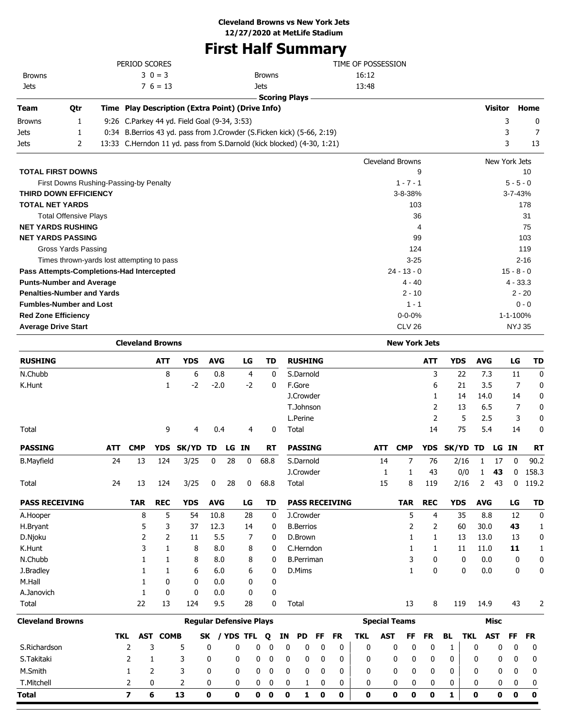# **First Half Summary**

|                                           |                                            |     |                |    | PERIOD SCORES           |                                                                        |            |                                |      |               |    |                      |    |                       | TIME OF POSSESSION |            |                         |            |            |     |             |                |               |           |
|-------------------------------------------|--------------------------------------------|-----|----------------|----|-------------------------|------------------------------------------------------------------------|------------|--------------------------------|------|---------------|----|----------------------|----|-----------------------|--------------------|------------|-------------------------|------------|------------|-----|-------------|----------------|---------------|-----------|
| <b>Browns</b>                             |                                            |     |                |    | $3 \t0 = 3$             |                                                                        |            |                                |      | <b>Browns</b> |    |                      |    |                       | 16:12              |            |                         |            |            |     |             |                |               |           |
| Jets                                      |                                            |     |                |    | $7\,6=13$               |                                                                        |            |                                |      | Jets          |    |                      |    |                       | 13:48              |            |                         |            |            |     |             |                |               |           |
|                                           |                                            |     |                |    |                         |                                                                        |            |                                |      |               |    | <b>Scoring Plays</b> |    |                       |                    |            |                         |            |            |     |             |                |               |           |
| Team                                      | Qtr                                        |     |                |    |                         | Time Play Description (Extra Point) (Drive Info)                       |            |                                |      |               |    |                      |    |                       |                    |            |                         |            |            |     |             | <b>Visitor</b> |               | Home      |
| Browns                                    | 1                                          |     |                |    |                         | 9:26 C.Parkey 44 yd. Field Goal (9-34, 3:53)                           |            |                                |      |               |    |                      |    |                       |                    |            |                         |            |            |     |             | 3              |               | 0         |
| Jets                                      | 1                                          |     |                |    |                         | 0:34 B.Berrios 43 yd. pass from J.Crowder (S.Ficken kick) (5-66, 2:19) |            |                                |      |               |    |                      |    |                       |                    |            |                         |            |            |     |             | 3              |               | 7         |
| Jets                                      | 2                                          |     |                |    |                         | 13:33 C.Herndon 11 yd. pass from S.Darnold (kick blocked) (4-30, 1:21) |            |                                |      |               |    |                      |    |                       |                    |            |                         |            |            |     |             | 3              |               | 13        |
|                                           |                                            |     |                |    |                         |                                                                        |            |                                |      |               |    |                      |    |                       |                    |            | <b>Cleveland Browns</b> |            |            |     |             | New York Jets  |               |           |
| <b>TOTAL FIRST DOWNS</b>                  |                                            |     |                |    |                         |                                                                        |            |                                |      |               |    |                      |    |                       |                    |            |                         | 9          |            |     |             |                |               | 10        |
|                                           | First Downs Rushing-Passing-by Penalty     |     |                |    |                         |                                                                        |            |                                |      |               |    |                      |    |                       |                    |            | $1 - 7 - 1$             |            |            |     |             |                | $5 - 5 - 0$   |           |
| THIRD DOWN EFFICIENCY                     |                                            |     |                |    |                         |                                                                        |            |                                |      |               |    |                      |    |                       |                    |            | 3-8-38%                 |            |            |     |             |                | 3-7-43%       |           |
| <b>TOTAL NET YARDS</b>                    |                                            |     |                |    |                         |                                                                        |            |                                |      |               |    |                      |    |                       |                    |            | 103                     |            |            |     |             |                |               | 178       |
|                                           | <b>Total Offensive Plays</b>               |     |                |    |                         |                                                                        |            |                                |      |               |    |                      |    |                       |                    |            |                         | 36         |            |     |             |                |               | 31        |
| <b>NET YARDS RUSHING</b>                  |                                            |     |                |    |                         |                                                                        |            |                                |      |               |    |                      |    |                       |                    |            |                         | 4          |            |     |             |                |               | 75        |
| <b>NET YARDS PASSING</b>                  |                                            |     |                |    |                         |                                                                        |            |                                |      |               |    |                      |    |                       |                    |            |                         | 99         |            |     |             |                |               | 103       |
|                                           | <b>Gross Yards Passing</b>                 |     |                |    |                         |                                                                        |            |                                |      |               |    |                      |    |                       |                    |            | 124                     |            |            |     |             |                |               | 119       |
|                                           | Times thrown-yards lost attempting to pass |     |                |    |                         |                                                                        |            |                                |      |               |    |                      |    |                       |                    |            | $3 - 25$                |            |            |     |             |                |               | $2 - 16$  |
| Pass Attempts-Completions-Had Intercepted |                                            |     |                |    |                         |                                                                        |            |                                |      |               |    |                      |    |                       |                    |            | $24 - 13 - 0$           |            |            |     |             |                | $15 - 8 - 0$  |           |
| <b>Punts-Number and Average</b>           |                                            |     |                |    |                         |                                                                        |            |                                |      |               |    |                      |    |                       |                    |            | $4 - 40$                |            |            |     |             |                | $4 - 33.3$    |           |
| <b>Penalties-Number and Yards</b>         |                                            |     |                |    |                         |                                                                        |            |                                |      |               |    |                      |    |                       |                    |            | $2 - 10$                |            |            |     |             |                | $2 - 20$      |           |
| <b>Fumbles-Number and Lost</b>            |                                            |     |                |    |                         |                                                                        |            |                                |      |               |    |                      |    |                       |                    |            | $1 - 1$                 |            |            |     |             |                |               | $0 - 0$   |
| <b>Red Zone Efficiency</b>                |                                            |     |                |    |                         |                                                                        |            |                                |      |               |    |                      |    |                       |                    |            | $0 - 0 - 0%$            |            |            |     |             |                | 1-1-100%      |           |
| <b>Average Drive Start</b>                |                                            |     |                |    |                         |                                                                        |            |                                |      |               |    |                      |    |                       |                    |            | <b>CLV 26</b>           |            |            |     |             |                | <b>NYJ 35</b> |           |
|                                           |                                            |     |                |    | <b>Cleveland Browns</b> |                                                                        |            |                                |      |               |    |                      |    |                       |                    |            | <b>New York Jets</b>    |            |            |     |             |                |               |           |
| <b>RUSHING</b>                            |                                            |     |                |    | <b>ATT</b>              | <b>YDS</b>                                                             | <b>AVG</b> |                                | LG   | <b>TD</b>     |    | <b>RUSHING</b>       |    |                       |                    |            |                         | <b>ATT</b> | <b>YDS</b> |     | <b>AVG</b>  |                | LG            | TD        |
| N.Chubb                                   |                                            |     |                |    | 8                       | 6                                                                      |            | 0.8                            | 4    | 0             |    | S.Darnold            |    |                       |                    |            |                         | 3          | 22         |     | 7.3         |                | 11            | 0         |
| K.Hunt                                    |                                            |     |                |    | 1                       | $-2$                                                                   |            | $-2.0$                         | $-2$ | 0             |    | F.Gore               |    |                       |                    |            |                         | 6          | 21         |     | 3.5         |                | 7             | 0         |
|                                           |                                            |     |                |    |                         |                                                                        |            |                                |      |               |    | J.Crowder            |    |                       |                    |            |                         | 1          | 14         |     | 14.0        |                | 14            | 0         |
|                                           |                                            |     |                |    |                         |                                                                        |            |                                |      |               |    | T.Johnson            |    |                       |                    |            |                         | 2          | 13         |     | 6.5         |                | 7             | 0         |
|                                           |                                            |     |                |    |                         |                                                                        |            |                                |      |               |    | L.Perine             |    |                       |                    |            |                         | 2          |            | 5   | 2.5         |                | 3             | 0         |
| Total                                     |                                            |     |                |    | 9                       | 4                                                                      |            | 0.4                            | 4    | 0             |    | Total                |    |                       |                    |            |                         | 14         | 75         |     | 5.4         |                | 14            | 0         |
| <b>PASSING</b>                            |                                            | ATT | <b>CMP</b>     |    | YDS                     | SK/YD TD                                                               |            | LG IN                          |      | RT            |    | <b>PASSING</b>       |    |                       |                    | ATT        | <b>CMP</b>              | <b>YDS</b> | SK/YD TD   |     |             | LG IN          |               | RT        |
| <b>B.Mayfield</b>                         |                                            | 24  |                | 13 | 124                     | 3/25                                                                   | 0          | 28                             | 0    | 68.8          |    | S.Darnold            |    |                       |                    | 14         | 7                       | 76         | 2/16       |     | 1           | 17             | 0             | 90.2      |
|                                           |                                            |     |                |    |                         |                                                                        |            |                                |      |               |    | J.Crowder            |    |                       |                    | 1          | 1                       | 43         | 0/0        |     | 1           | 43             | 0             | 158.3     |
| Total                                     |                                            | 24  |                | 13 | 124                     | 3/25                                                                   | 0          | 28                             | 0    | 68.8          |    | Total                |    |                       |                    | 15         | 8                       | 119        | 2/16       |     | 2           | 43             | 0             | 119.2     |
|                                           |                                            |     |                |    |                         |                                                                        |            |                                |      |               |    |                      |    |                       |                    |            |                         |            |            |     |             |                |               |           |
| <b>PASS RECEIVING</b>                     |                                            |     | <b>TAR</b>     |    | <b>REC</b>              | <b>YDS</b>                                                             | <b>AVG</b> |                                | LG   | TD            |    |                      |    | <b>PASS RECEIVING</b> |                    |            | <b>TAR</b>              | <b>REC</b> | <b>YDS</b> |     | <b>AVG</b>  |                | LG            | TD        |
| A.Hooper                                  |                                            |     |                | 8  | 5                       | 54                                                                     | 10.8       |                                | 28   | 0             |    | J.Crowder            |    |                       |                    |            | 5                       | 4          | 35         |     | 8.8         |                | 12            | 0         |
| H.Bryant                                  |                                            |     |                | 5  | 3                       | 37                                                                     |            | 12.3                           | 14   | 0             |    | <b>B.Berrios</b>     |    |                       |                    |            | 2                       | 2          | 60         |     | 30.0        |                | 43            | 1         |
| D.Njoku                                   |                                            |     |                | 2  | 2                       | 11                                                                     |            | 5.5                            | 7    | 0             |    | D.Brown              |    |                       |                    |            | 1                       | 1          | 13         |     | 13.0        |                | 13            | 0         |
| K.Hunt                                    |                                            |     |                | 3  | $\mathbf{1}$            | 8                                                                      |            | 8.0                            | 8    | 0             |    | C.Herndon            |    |                       |                    |            | 1                       | 1          | 11         |     | 11.0        |                | 11            | 1         |
| N.Chubb                                   |                                            |     |                | 1  | 1                       | 8                                                                      |            | 8.0                            | 8    | 0             |    | <b>B.Perriman</b>    |    |                       |                    |            | 3                       | 0          |            | 0   | 0.0         |                | 0             | 0         |
| J.Bradley                                 |                                            |     |                | 1  | 1                       | 6                                                                      |            | 6.0                            | 6    | 0             |    | D.Mims               |    |                       |                    |            | 1                       | 0          |            | 0   | 0.0         |                | 0             | 0         |
| M.Hall                                    |                                            |     |                | 1  | 0                       | 0                                                                      |            | 0.0                            | 0    | 0             |    |                      |    |                       |                    |            |                         |            |            |     |             |                |               |           |
| A.Janovich                                |                                            |     |                | 1  | 0                       | 0                                                                      |            | 0.0                            | 0    | 0             |    |                      |    |                       |                    |            |                         |            |            |     |             |                |               |           |
| Total                                     |                                            |     |                | 22 | 13                      | 124                                                                    |            | 9.5                            | 28   | 0             |    | Total                |    |                       |                    |            | 13                      | 8          | 119        |     | 14.9        |                | 43            | 2         |
| <b>Cleveland Browns</b>                   |                                            |     |                |    |                         |                                                                        |            | <b>Regular Defensive Plays</b> |      |               |    |                      |    |                       |                    |            | <b>Special Teams</b>    |            |            |     | <b>Misc</b> |                |               |           |
|                                           |                                            |     | TKL            |    | <b>AST COMB</b>         |                                                                        | <b>SK</b>  | / YDS TFL                      |      | Q             | IN | <b>PD</b>            | FF | <b>FR</b>             | <b>TKL</b>         | <b>AST</b> | FF                      | <b>FR</b>  | BL         | TKL | <b>AST</b>  |                | FF            | <b>FR</b> |
| S.Richardson                              |                                            |     | 2              | 3  |                         | 5                                                                      | 0          | 0                              | 0    | 0             | 0  | 0                    | 0  | 0                     | 0                  |            | 0<br>0                  | 0          | 1          | 0   |             | 0              | 0             | 0         |
| S.Takitaki                                |                                            |     | 2              | 1  |                         | 3                                                                      | 0          | 0                              | 0    | 0             | 0  | 0                    | 0  | 0                     | 0                  |            | 0<br>0                  | 0          | 0          | 0   |             | 0              | 0             | 0         |
| M.Smith                                   |                                            |     | 1              | 2  |                         | 3                                                                      | 0          | 0                              | 0    | 0             | 0  | 0                    | 0  | 0                     | 0                  |            | 0<br>0                  | 0          | 0          | 0   |             | 0              | 0             | 0         |
| T.Mitchell                                |                                            |     | $\overline{2}$ | 0  |                         | 2                                                                      | 0          | 0                              |      | 0<br>0        | 0  | 1                    | 0  | 0                     | 0                  |            | 0<br>0                  | 0          | 0          | 0   |             | 0              | 0             | 0         |

**Total 7 6 13 0 0 0 0 0 1 0 0 0 0 0 0 1 0 0 0 0**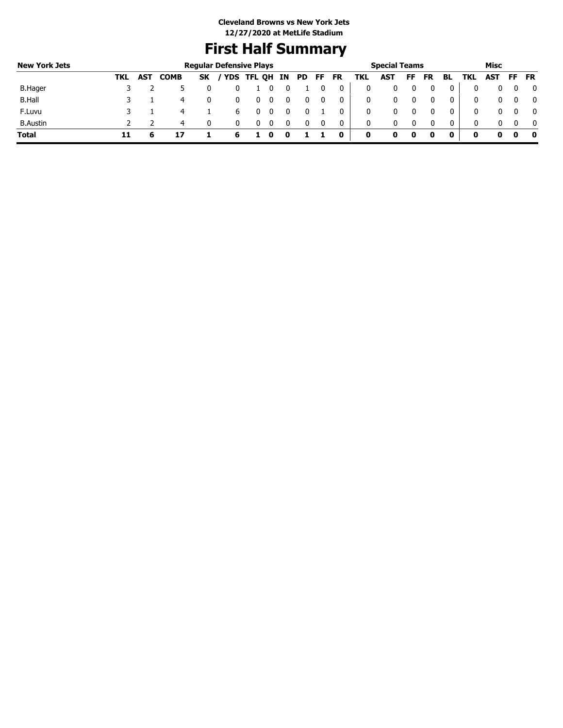# **First Half Summary**

| <b>New York Jets</b> |     |     |             |           | <b>Regular Defensive Plays</b> |               |  |     |     |           |     | <b>Special Teams</b> |    |           |    |     | Misc |     |           |
|----------------------|-----|-----|-------------|-----------|--------------------------------|---------------|--|-----|-----|-----------|-----|----------------------|----|-----------|----|-----|------|-----|-----------|
|                      | TKL | AST | <b>COMB</b> | <b>SK</b> |                                | YDS TFL QH IN |  | PD. | FF. | <b>FR</b> | TKL | AST                  | FF | <b>FR</b> | BL | TKL | AST  | FF. | <b>FR</b> |
| B.Hager              |     |     |             |           |                                |               |  |     |     | 0         | 0   |                      |    |           | 0  |     |      |     |           |
| <b>B.Hall</b>        |     |     | 4           | 0         |                                |               |  |     |     |           | 0   |                      |    |           | 0  |     |      |     |           |
| F.Luvu               |     |     |             |           | b                              |               |  |     |     |           | 0   | 0                    |    |           | 0  |     |      |     | - 0       |
| <b>B.Austin</b>      |     |     | 4           | 0         |                                |               |  |     |     | 0         | 0   | 0                    |    |           | 0  |     |      |     |           |
| <b>Total</b>         | 11  |     |             |           | 6                              |               |  |     |     | 0         | 0   |                      |    |           | 0  | 0   |      | o   | 0         |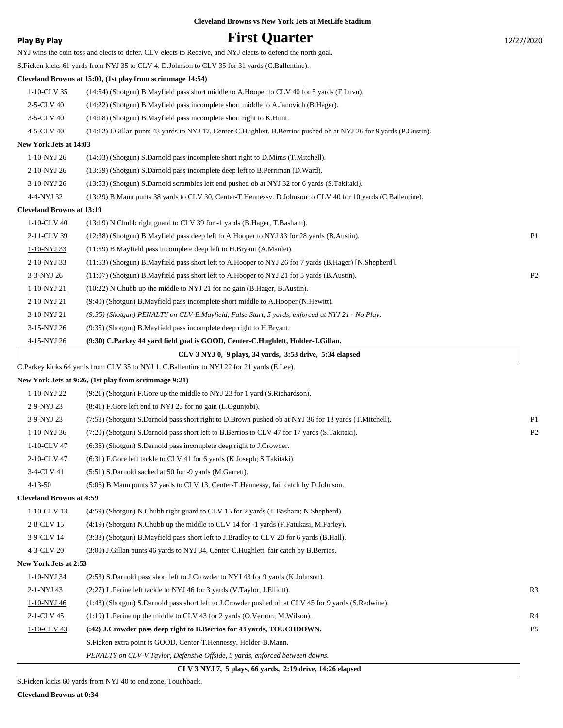| <b>Cleveland Browns vs New York Jets at MetLife Stadium</b> |  |  |
|-------------------------------------------------------------|--|--|
|-------------------------------------------------------------|--|--|

### **Play By Play First Quarter** 12/27/2020

|                                                  | NYJ wins the coin toss and elects to defer. CLV elects to Receive, and NYJ elects to defend the north goal.         |                |
|--------------------------------------------------|---------------------------------------------------------------------------------------------------------------------|----------------|
|                                                  | S. Ficken kicks 61 yards from NYJ 35 to CLV 4. D. Johnson to CLV 35 for 31 yards (C. Ballentine).                   |                |
|                                                  | Cleveland Browns at 15:00, (1st play from scrimmage 14:54)                                                          |                |
| 1-10-CLV 35                                      | (14:54) (Shotgun) B. Mayfield pass short middle to A. Hooper to CLV 40 for 5 yards (F. Luvu).                       |                |
| 2-5-CLV 40                                       | (14:22) (Shotgun) B.Mayfield pass incomplete short middle to A.Janovich (B.Hager).                                  |                |
| $3-5$ -CLV 40                                    | (14:18) (Shotgun) B.Mayfield pass incomplete short right to K.Hunt.                                                 |                |
| 4-5-CLV 40                                       | (14:12) J.Gillan punts 43 yards to NYJ 17, Center-C.Hughlett. B.Berrios pushed ob at NYJ 26 for 9 yards (P.Gustin). |                |
| New York Jets at 14:03                           |                                                                                                                     |                |
| 1-10-NYJ 26                                      | (14:03) (Shotgun) S.Darnold pass incomplete short right to D.Mims (T.Mitchell).                                     |                |
| 2-10-NYJ 26                                      | (13:59) (Shotgun) S.Darnold pass incomplete deep left to B.Perriman (D.Ward).                                       |                |
| $3-10\mbox{-NYJ}$ $26$                           | (13:53) (Shotgun) S.Darnold scrambles left end pushed ob at NYJ 32 for 6 yards (S.Takitaki).                        |                |
| 4-4-NYJ 32                                       | (13:29) B. Mann punts 38 yards to CLV 30, Center-T. Hennessy. D. Johnson to CLV 40 for 10 yards (C. Ballentine).    |                |
| <b>Cleveland Browns at 13:19</b>                 |                                                                                                                     |                |
| 1-10-CLV 40                                      | (13:19) N.Chubb right guard to CLV 39 for -1 yards (B.Hager, T.Basham).                                             |                |
| 2-11-CLV 39                                      | (12:38) (Shotgun) B. Mayfield pass deep left to A. Hooper to NYJ 33 for 28 yards (B. Austin).                       | P1             |
| 1-10-NYJ 33                                      | (11:59) B. Mayfield pass incomplete deep left to H. Bryant (A. Maulet).                                             |                |
| 2-10-NYJ 33                                      | (11:53) (Shotgun) B.Mayfield pass short left to A.Hooper to NYJ 26 for 7 yards (B.Hager) [N.Shepherd].              |                |
| 3-3-NYJ 26                                       | (11:07) (Shotgun) B.Mayfield pass short left to A.Hooper to NYJ 21 for 5 yards (B.Austin).                          | P <sub>2</sub> |
| 1-10-NYJ 21                                      | (10:22) N.Chubb up the middle to NYJ 21 for no gain (B.Hager, B.Austin).                                            |                |
| 2-10-NYJ 21                                      | (9:40) (Shotgun) B.Mayfield pass incomplete short middle to A.Hooper (N.Hewitt).                                    |                |
| 3-10-NYJ 21                                      | (9:35) (Shotgun) PENALTY on CLV-B.Mayfield, False Start, 5 yards, enforced at NYJ 21 - No Play.                     |                |
| 3-15-NYJ 26                                      | (9:35) (Shotgun) B.Mayfield pass incomplete deep right to H.Bryant.                                                 |                |
| 4-15-NYJ 26                                      | (9:30) C.Parkey 44 yard field goal is GOOD, Center-C.Hughlett, Holder-J.Gillan.                                     |                |
|                                                  | CLV 3 NYJ 0, 9 plays, 34 yards, 3:53 drive, 5:34 elapsed                                                            |                |
|                                                  | C.Parkey kicks 64 yards from CLV 35 to NYJ 1. C.Ballentine to NYJ 22 for 21 yards (E.Lee).                          |                |
|                                                  | New York Jets at 9:26, (1st play from scrimmage 9:21)                                                               |                |
| 1-10-NYJ 22                                      | (9:21) (Shotgun) F.Gore up the middle to NYJ 23 for 1 yard (S.Richardson).                                          |                |
| 2-9-NYJ 23                                       | (8:41) F.Gore left end to NYJ 23 for no gain (L.Ogunjobi).                                                          |                |
| 3-9-NYJ 23                                       | (7:58) (Shotgun) S.Darnold pass short right to D.Brown pushed ob at NYJ 36 for 13 yards (T.Mitchell).               | P <sub>1</sub> |
| 1-10-NYJ 36                                      | (7:20) (Shotgun) S.Darnold pass short left to B.Berrios to CLV 47 for 17 yards (S.Takitaki).                        | P <sub>2</sub> |
| 1-10-CLV 47                                      | (6:36) (Shotgun) S.Darnold pass incomplete deep right to J.Crowder.                                                 |                |
| 2-10-CLV 47                                      | (6:31) F.Gore left tackle to CLV 41 for 6 yards (K.Joseph; S.Takitaki).                                             |                |
| 3-4-CLV 41                                       | (5:51) S.Darnold sacked at 50 for -9 yards (M.Garrett).                                                             |                |
| $4 - 13 - 50$<br><b>Cleveland Browns at 4:59</b> | (5:06) B.Mann punts 37 yards to CLV 13, Center-T.Hennessy, fair catch by D.Johnson.                                 |                |
| 1-10-CLV 13                                      |                                                                                                                     |                |
|                                                  | (4.59) (Shotgun) N.Chubb right guard to CLV 15 for 2 yards (T.Basham; N.Shepherd).                                  |                |
| 2-8-CLV 15                                       | (4:19) (Shotgun) N.Chubb up the middle to CLV 14 for -1 yards (F.Fatukasi, M.Farley).                               |                |
| 3-9-CLV 14                                       | (3:38) (Shotgun) B.Mayfield pass short left to J.Bradley to CLV 20 for 6 yards (B.Hall).                            |                |
| 4-3-CLV 20                                       | (3:00) J.Gillan punts 46 yards to NYJ 34, Center-C.Hughlett, fair catch by B.Berrios.                               |                |
| New York Jets at 2:53                            |                                                                                                                     |                |
| 1-10-NYJ 34                                      | (2:53) S.Darnold pass short left to J.Crowder to NYJ 43 for 9 yards (K.Johnson).                                    |                |
| 2-1-NYJ 43                                       | (2:27) L. Perine left tackle to NYJ 46 for 3 yards (V. Taylor, J. Elliott).                                         | R <sub>3</sub> |
| 1-10-NYJ 46                                      | (1:48) (Shotgun) S.Darnold pass short left to J.Crowder pushed ob at CLV 45 for 9 yards (S.Redwine).                |                |
| 2-1-CLV 45                                       | $(1.19)$ L. Perine up the middle to CLV 43 for 2 yards (O. Vernon; M. Wilson).                                      | R4             |
| 1-10-CLV 43                                      | (:42) J.Crowder pass deep right to B.Berrios for 43 yards, TOUCHDOWN.                                               | P <sub>5</sub> |
|                                                  | S. Ficken extra point is GOOD, Center-T. Hennessy, Holder-B. Mann.                                                  |                |
|                                                  | PENALTY on CLV-V.Taylor, Defensive Offside, 5 yards, enforced between downs.                                        |                |

 **CLV 3 NYJ 7, 5 plays, 66 yards, 2:19 drive, 14:26 elapsed**

S.Ficken kicks 60 yards from NYJ 40 to end zone, Touchback.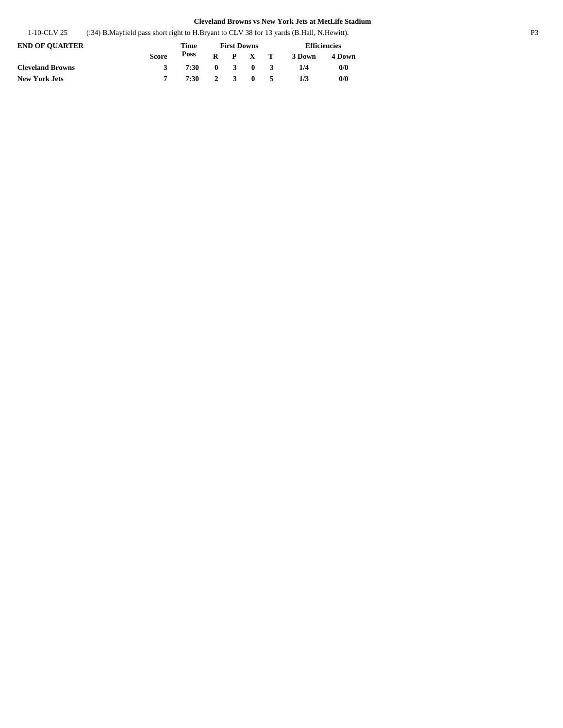| 1-10-CLV 25 | (:34) B. Mayfield pass short right to H. Bryant to CLV 38 for 13 yards (B. Hall, N. Hewitt). |  |
|-------------|----------------------------------------------------------------------------------------------|--|
|-------------|----------------------------------------------------------------------------------------------|--|

| <b>END OF OUARTER</b>   |              | Time         |  | <b>First Downs</b> | <b>Efficiencies</b> |               |  |
|-------------------------|--------------|--------------|--|--------------------|---------------------|---------------|--|
|                         | <b>Score</b> | Poss         |  | $R$ $P$ $X$ $T$    | 3 Down              | 4 Down        |  |
| <b>Cleveland Browns</b> | 3            | 7:30 0 3 0 3 |  |                    | 1/4                 | 0/0           |  |
| New York Jets           |              | 7:30 2 3 0 5 |  |                    | 1/3                 | $\frac{0}{0}$ |  |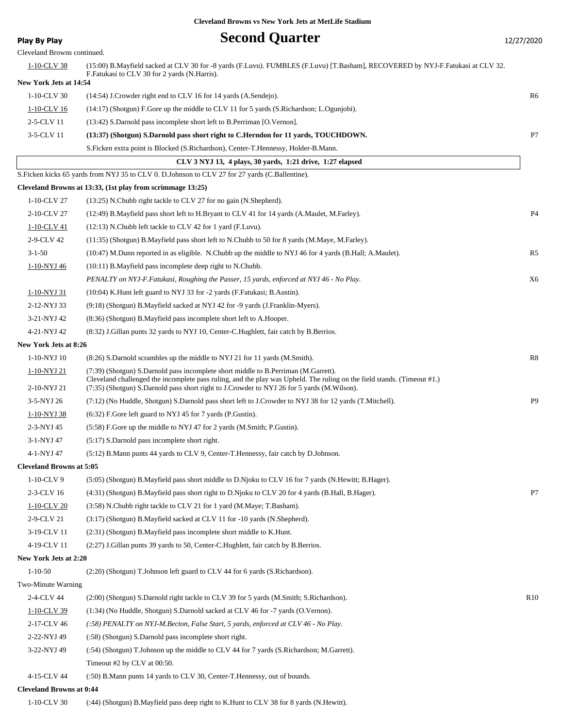## **Play By Play Play Play By Play Second Quarter** 12/27/2020

| Cleveland Browns continued.     |                                                                                                                                                                                                                       |                 |
|---------------------------------|-----------------------------------------------------------------------------------------------------------------------------------------------------------------------------------------------------------------------|-----------------|
| 1-10-CLV 38                     | (15:00) B.Mayfield sacked at CLV 30 for -8 yards (F.Luvu). FUMBLES (F.Luvu) [T.Basham], RECOVERED by NYJ-F.Fatukasi at CLV 32.<br>F.Fatukasi to CLV 30 for 2 yards (N.Harris).                                        |                 |
| New York Jets at 14:54          |                                                                                                                                                                                                                       |                 |
| 1-10-CLV 30                     | (14:54) J.Crowder right end to CLV 16 for 14 yards (A.Sendejo).                                                                                                                                                       | R6              |
| 1-10-CLV 16                     | (14:17) (Shotgun) F.Gore up the middle to CLV 11 for 5 yards (S.Richardson; L.Ogunjobi).                                                                                                                              |                 |
| 2-5-CLV 11                      | (13:42) S.Darnold pass incomplete short left to B.Perriman [O.Vernon].                                                                                                                                                |                 |
| 3-5-CLV 11                      | (13:37) (Shotgun) S.Darnold pass short right to C.Herndon for 11 yards, TOUCHDOWN.                                                                                                                                    | P7              |
|                                 | S. Ficken extra point is Blocked (S. Richardson), Center-T. Hennessy, Holder-B. Mann.                                                                                                                                 |                 |
|                                 | CLV 3 NYJ 13, 4 plays, 30 yards, 1:21 drive, 1:27 elapsed                                                                                                                                                             |                 |
|                                 | S. Ficken kicks 65 yards from NYJ 35 to CLV 0. D. Johnson to CLV 27 for 27 yards (C. Ballentine).                                                                                                                     |                 |
|                                 | Cleveland Browns at 13:33, (1st play from scrimmage 13:25)                                                                                                                                                            |                 |
| 1-10-CLV 27                     | (13:25) N.Chubb right tackle to CLV 27 for no gain (N.Shepherd).                                                                                                                                                      |                 |
| 2-10-CLV 27                     | (12:49) B. Mayfield pass short left to H. Bryant to CLV 41 for 14 yards (A. Maulet, M. Farley).                                                                                                                       | P <sub>4</sub>  |
| 1-10-CLV 41                     | (12:13) N.Chubb left tackle to CLV 42 for 1 yard (F.Luvu).                                                                                                                                                            |                 |
| 2-9-CLV 42                      | (11:35) (Shotgun) B.Mayfield pass short left to N.Chubb to 50 for 8 yards (M.Maye, M.Farley).                                                                                                                         |                 |
| $3 - 1 - 50$                    | (10:47) M.Dunn reported in as eligible. N.Chubb up the middle to NYJ 46 for 4 yards (B.Hall; A.Maulet).                                                                                                               | R <sub>5</sub>  |
| 1-10-NYJ 46                     | $(10:11)$ B. Mayfield pass incomplete deep right to N. Chubb.                                                                                                                                                         |                 |
|                                 | PENALTY on NYJ-F.Fatukasi, Roughing the Passer, 15 yards, enforced at NYJ 46 - No Play.                                                                                                                               | X <sub>6</sub>  |
| 1-10-NYJ 31                     | (10:04) K.Hunt left guard to NYJ 33 for -2 yards (F.Fatukasi; B.Austin).                                                                                                                                              |                 |
| 2-12-NYJ 33                     | (9.18) (Shotgun) B.Mayfield sacked at NYJ 42 for -9 yards (J.Franklin-Myers).                                                                                                                                         |                 |
| 3-21-NYJ 42                     | (8:36) (Shotgun) B.Mayfield pass incomplete short left to A.Hooper.                                                                                                                                                   |                 |
| 4-21-NYJ 42                     | (8.32) J. Gillan punts 32 yards to NYJ 10, Center-C. Hughlett, fair catch by B. Berrios.                                                                                                                              |                 |
| New York Jets at 8:26           |                                                                                                                                                                                                                       |                 |
| 1-10-NYJ 10                     | (8.26) S.Darnold scrambles up the middle to NYJ 21 for 11 yards (M.Smith).                                                                                                                                            | R8              |
| 1-10-NYJ 21                     | (7:39) (Shotgun) S.Darnold pass incomplete short middle to B.Perriman (M.Garrett).                                                                                                                                    |                 |
| 2-10-NYJ 21                     | Cleveland challenged the incomplete pass ruling, and the play was Upheld. The ruling on the field stands. (Timeout #1.)<br>(7:35) (Shotgun) S.Darnold pass short right to J.Crowder to NYJ 26 for 5 yards (M.Wilson). |                 |
| 3-5-NYJ 26                      | (7:12) (No Huddle, Shotgun) S.Darnold pass short left to J.Crowder to NYJ 38 for 12 yards (T.Mitchell).                                                                                                               | P <sub>9</sub>  |
| 1-10-NYJ 38                     | (6:32) F.Gore left guard to NYJ 45 for 7 yards (P.Gustin).                                                                                                                                                            |                 |
| 2-3-NYJ 45                      | (5:58) F.Gore up the middle to NYJ 47 for 2 yards (M.Smith; P.Gustin).                                                                                                                                                |                 |
| 3-1-NYJ 47                      | $(5:17)$ S.Darnold pass incomplete short right.                                                                                                                                                                       |                 |
| 4-1-NYJ 47                      | (5:12) B.Mann punts 44 yards to CLV 9, Center-T.Hennessy, fair catch by D.Johnson.                                                                                                                                    |                 |
| <b>Cleveland Browns at 5:05</b> |                                                                                                                                                                                                                       |                 |
| $1-10$ -CLV 9                   | (5:05) (Shotgun) B. Mayfield pass short middle to D. Njoku to CLV 16 for 7 yards (N. Hewitt; B. Hager).                                                                                                               |                 |
| 2-3-CLV 16                      | (4:31) (Shotgun) B.Mayfield pass short right to D.Njoku to CLV 20 for 4 yards (B.Hall, B.Hager).                                                                                                                      | P7              |
| 1-10-CLV 20                     | (3:58) N.Chubb right tackle to CLV 21 for 1 yard (M.Maye; T.Basham).                                                                                                                                                  |                 |
| 2-9-CLV 21                      | (3:17) (Shotgun) B.Mayfield sacked at CLV 11 for -10 yards (N.Shepherd).                                                                                                                                              |                 |
| 3-19-CLV 11                     | (2:31) (Shotgun) B.Mayfield pass incomplete short middle to K.Hunt.                                                                                                                                                   |                 |
| 4-19-CLV 11                     | (2:27) J.Gillan punts 39 yards to 50, Center-C.Hughlett, fair catch by B.Berrios.                                                                                                                                     |                 |
| New York Jets at 2:20           |                                                                                                                                                                                                                       |                 |
| $1 - 10 - 50$                   | (2:20) (Shotgun) T.Johnson left guard to CLV 44 for 6 yards (S.Richardson).                                                                                                                                           |                 |
| Two-Minute Warning              |                                                                                                                                                                                                                       |                 |
| 2-4-CLV 44                      | (2:00) (Shotgun) S.Darnold right tackle to CLV 39 for 5 yards (M.Smith; S.Richardson).                                                                                                                                | R <sub>10</sub> |
| 1-10-CLV 39                     | (1:34) (No Huddle, Shotgun) S.Darnold sacked at CLV 46 for -7 yards (O.Vernon).                                                                                                                                       |                 |
| 2-17-CLV 46                     | (:58) PENALTY on NYJ-M.Becton, False Start, 5 yards, enforced at CLV 46 - No Play.                                                                                                                                    |                 |
| 2-22-NYJ 49                     | (:58) (Shotgun) S.Darnold pass incomplete short right.                                                                                                                                                                |                 |
| 3-22-NYJ 49                     | (:54) (Shotgun) T.Johnson up the middle to CLV 44 for 7 yards (S.Richardson; M.Garrett).                                                                                                                              |                 |
|                                 | Timeout #2 by CLV at 00:50.                                                                                                                                                                                           |                 |
| 4-15-CLV 44                     | (:50) B. Mann punts 14 yards to CLV 30, Center-T. Hennessy, out of bounds.                                                                                                                                            |                 |
|                                 |                                                                                                                                                                                                                       |                 |

### **Cleveland Browns at 0:44**

1-10-CLV 30 (:44) (Shotgun) B.Mayfield pass deep right to K.Hunt to CLV 38 for 8 yards (N.Hewitt).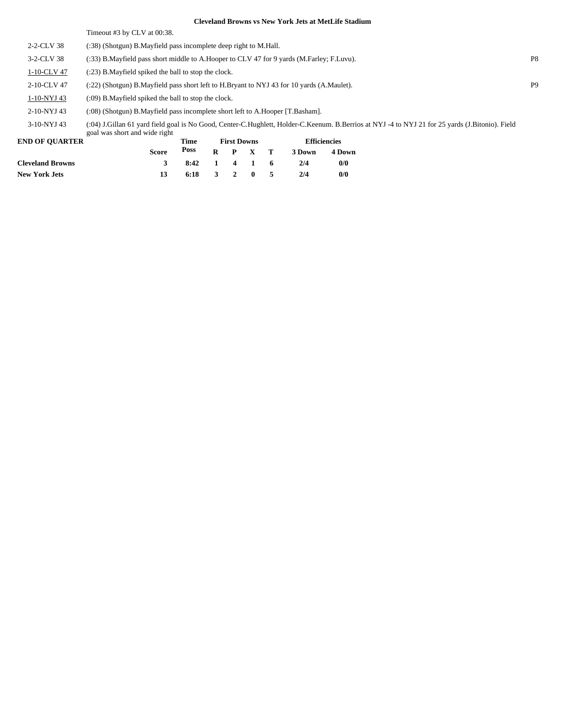Timeout #3 by CLV at 00:38.

| 2-2-CLV 38  | (:38) (Shotgun) B. Mayfield pass incomplete deep right to M. Hall.                                                                                                               |                |
|-------------|----------------------------------------------------------------------------------------------------------------------------------------------------------------------------------|----------------|
| 3-2-CLV 38  | (:33) B.Mayfield pass short middle to A.Hooper to CLV 47 for 9 yards (M.Farley; F.Luvu).                                                                                         | P <sub>8</sub> |
| 1-10-CLV 47 | (:23) B. Mayfield spiked the ball to stop the clock.                                                                                                                             |                |
| 2-10-CLV 47 | (:22) (Shotgun) B.Mayfield pass short left to H.Bryant to NYJ 43 for 10 yards (A.Maulet).                                                                                        | P <sub>9</sub> |
| 1-10-NYJ 43 | (:09) B. Mayfield spiked the ball to stop the clock.                                                                                                                             |                |
| 2-10-NYJ 43 | (:08) (Shotgun) B.Mayfield pass incomplete short left to A.Hooper [T.Basham].                                                                                                    |                |
| 3-10-NYJ 43 | (:04) J.Gillan 61 yard field goal is No Good, Center-C.Hughlett, Holder-C.Keenum. B.Berrios at NYJ -4 to NYJ 21 for 25 yards (J.Bitonio). Field<br>goal was short and wide right |                |

| <b>END OF OUARTER</b>   |              | Time         |         | <b>First Downs</b> |         | <b>Efficiencies</b> |               |  |  |
|-------------------------|--------------|--------------|---------|--------------------|---------|---------------------|---------------|--|--|
|                         | <b>Score</b> | Poss         |         |                    | R P X T | 3 Down              | <b>4 Down</b> |  |  |
| <b>Cleveland Browns</b> | $\mathbf{R}$ | 8:42 1 4 1 6 |         |                    |         | 2/4                 | 0/0           |  |  |
| <b>New York Jets</b>    | 13           | 6:18         | 3 2 0 5 |                    |         | 2/4                 | 0/0           |  |  |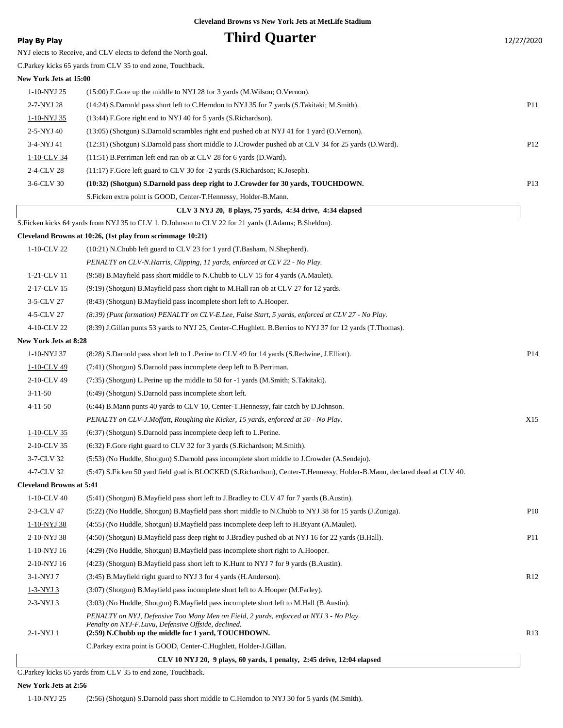### **Play By Play Play Play Play By Play Third Quarter** 12/27/2020

NYJ elects to Receive, and CLV elects to defend the North goal. C.Parkey kicks 65 yards from CLV 35 to end zone, Touchback. **New York Jets at 15:00** 1-10-NYJ 25 (15:00) F.Gore up the middle to NYJ 28 for 3 yards (M.Wilson; O.Vernon). 2-7-NYJ 28 (14:24) S.Darnold pass short left to C.Herndon to NYJ 35 for 7 yards (S.Takitaki; M.Smith). P11 1-10-NYJ 35 (13:44) F.Gore right end to NYJ 40 for 5 yards (S.Richardson). 2-5-NYJ 40 (13:05) (Shotgun) S.Darnold scrambles right end pushed ob at NYJ 41 for 1 yard (O.Vernon). 3-4-NYJ 41 (12:31) (Shotgun) S.Darnold pass short middle to J.Crowder pushed ob at CLV 34 for 25 yards (D.Ward). P12 1-10-CLV 34 (11:51) B.Perriman left end ran ob at CLV 28 for 6 yards (D.Ward). 2-4-CLV 28 (11:17) F.Gore left guard to CLV 30 for -2 yards (S.Richardson; K.Joseph).

| 1-10-CLV 34                     | (11:51) B. Perriman left end ran ob at CLV 28 for 6 yards (D. Ward).                                                     |     |
|---------------------------------|--------------------------------------------------------------------------------------------------------------------------|-----|
| 2-4-CLV 28                      | (11:17) F.Gore left guard to CLV 30 for -2 yards (S.Richardson; K.Joseph).                                               |     |
| 3-6-CLV 30                      | (10:32) (Shotgun) S.Darnold pass deep right to J.Crowder for 30 yards, TOUCHDOWN.                                        | P13 |
|                                 | S. Ficken extra point is GOOD, Center-T. Hennessy, Holder-B. Mann.                                                       |     |
|                                 | CLV 3 NYJ 20, 8 plays, 75 yards, 4:34 drive, 4:34 elapsed                                                                |     |
|                                 | S.Ficken kicks 64 yards from NYJ 35 to CLV 1. D.Johnson to CLV 22 for 21 yards (J.Adams; B.Sheldon).                     |     |
|                                 | Cleveland Browns at 10:26, (1st play from scrimmage 10:21)                                                               |     |
| 1-10-CLV 22                     | (10:21) N.Chubb left guard to CLV 23 for 1 yard (T.Basham, N.Shepherd).                                                  |     |
|                                 | PENALTY on CLV-N.Harris, Clipping, 11 yards, enforced at CLV 22 - No Play.                                               |     |
| 1-21-CLV 11                     | (9.58) B.Mayfield pass short middle to N.Chubb to CLV 15 for 4 yards (A.Maulet).                                         |     |
| 2-17-CLV 15                     | (9:19) (Shotgun) B. Mayfield pass short right to M. Hall ran ob at CLV 27 for 12 yards.                                  |     |
| 3-5-CLV 27                      | (8:43) (Shotgun) B.Mayfield pass incomplete short left to A.Hooper.                                                      |     |
| 4-5-CLV 27                      | (8:39) (Punt formation) PENALTY on CLV-E.Lee, False Start, 5 yards, enforced at CLV 27 - No Play.                        |     |
| 4-10-CLV 22                     | (8:39) J. Gillan punts 53 yards to NYJ 25, Center-C. Hughlett. B. Berrios to NYJ 37 for 12 yards (T. Thomas).            |     |
| <b>New York Jets at 8:28</b>    |                                                                                                                          |     |
| 1-10-NYJ 37                     | (8:28) S.Darnold pass short left to L.Perine to CLV 49 for 14 yards (S.Redwine, J.Elliott).                              | P14 |
| 1-10-CLV 49                     | (7:41) (Shotgun) S.Darnold pass incomplete deep left to B.Perriman.                                                      |     |
| 2-10-CLV 49                     | (7:35) (Shotgun) L. Perine up the middle to 50 for -1 yards (M. Smith; S. Takitaki).                                     |     |
| $3 - 11 - 50$                   | (6:49) (Shotgun) S.Darnold pass incomplete short left.                                                                   |     |
| $4 - 11 - 50$                   | (6:44) B.Mann punts 40 yards to CLV 10, Center-T.Hennessy, fair catch by D.Johnson.                                      |     |
|                                 | PENALTY on CLV-J.Moffatt, Roughing the Kicker, 15 yards, enforced at 50 - No Play.                                       | X15 |
| 1-10-CLV 35                     | (6:37) (Shotgun) S.Darnold pass incomplete deep left to L.Perine.                                                        |     |
| 2-10-CLV 35                     | (6:32) F.Gore right guard to CLV 32 for 3 yards (S.Richardson; M.Smith).                                                 |     |
| 3-7-CLV 32                      | (5:53) (No Huddle, Shotgun) S.Darnold pass incomplete short middle to J.Crowder (A.Sendejo).                             |     |
| 4-7-CLV 32                      | (5:47) S.Ficken 50 yard field goal is BLOCKED (S.Richardson), Center-T.Hennessy, Holder-B.Mann, declared dead at CLV 40. |     |
| <b>Cleveland Browns at 5:41</b> |                                                                                                                          |     |
| 1-10-CLV 40                     | (5:41) (Shotgun) B.Mayfield pass short left to J.Bradley to CLV 47 for 7 yards (B.Austin).                               |     |
| 2-3-CLV 47                      | (5:22) (No Huddle, Shotgun) B.Mayfield pass short middle to N.Chubb to NYJ 38 for 15 yards (J.Zuniga).                   | P10 |
| 1-10-NYJ 38                     | (4:55) (No Huddle, Shotgun) B. Mayfield pass incomplete deep left to H. Bryant (A. Maulet).                              |     |
| 2-10-NYJ 38                     | (4:50) (Shotgun) B.Mayfield pass deep right to J.Bradley pushed ob at NYJ 16 for 22 yards (B.Hall).                      | P11 |
| 1-10-NYJ 16                     | (4:29) (No Huddle, Shotgun) B. Mayfield pass incomplete short right to A. Hooper.                                        |     |
| 2-10-NYJ 16                     | (4:23) (Shotgun) B.Mayfield pass short left to K.Hunt to NYJ 7 for 9 yards (B.Austin).                                   |     |
| 3-1-NYJ 7                       | (3:45) B. Mayfield right guard to NYJ 3 for 4 yards (H. Anderson).                                                       | R12 |
| 1-3-NYJ 3                       | (3:07) (Shotgun) B.Mayfield pass incomplete short left to A.Hooper (M.Farley).                                           |     |

2-3-NYJ 3 (3:03) (No Huddle, Shotgun) B.Mayfield pass incomplete short left to M.Hall (B.Austin).

*PENALTY on NYJ, Defensive Too Many Men on Field, 2 yards, enforced at NYJ 3 - No Play. Penalty on NYJ-F.Luvu, Defensive Offside, declined.*

### 2-1-NYJ 1 **(2:59) N.Chubb up the middle for 1 yard, TOUCHDOWN.** R13 C.Parkey extra point is GOOD, Center-C.Hughlett, Holder-J.Gillan.

 **CLV 10 NYJ 20, 9 plays, 60 yards, 1 penalty, 2:45 drive, 12:04 elapsed**

C.Parkey kicks 65 yards from CLV 35 to end zone, Touchback.

#### **New York Jets at 2:56**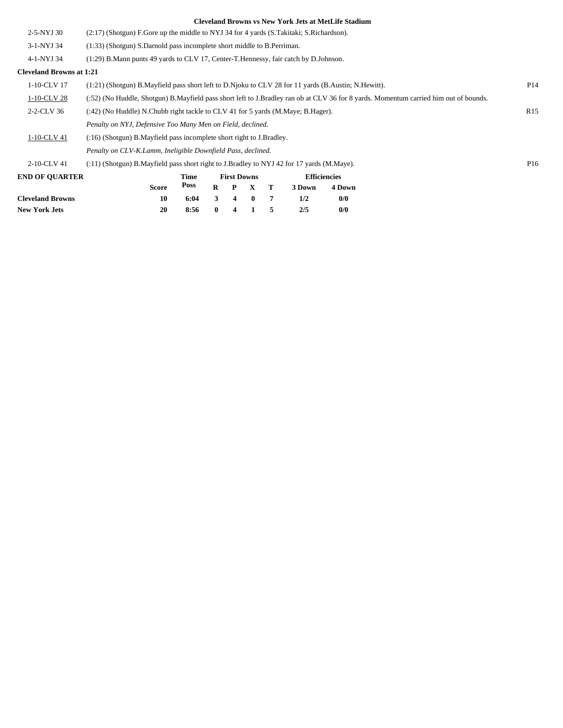| <b>Cleveland Browns</b>         | 10                                                                                                 | 6:04                                                                                                                                 | 3        | 4                  | $\bf{0}$     | 7 | 1/2    | 0/0                 |  |                 |  |  |  |
|---------------------------------|----------------------------------------------------------------------------------------------------|--------------------------------------------------------------------------------------------------------------------------------------|----------|--------------------|--------------|---|--------|---------------------|--|-----------------|--|--|--|
|                                 | <b>Score</b>                                                                                       | Poss                                                                                                                                 | $\bf{R}$ | $\mathbf{P}$       | $\mathbf{x}$ | Т | 3 Down | 4 Down              |  |                 |  |  |  |
| <b>END OF OUARTER</b>           |                                                                                                    | Time                                                                                                                                 |          | <b>First Downs</b> |              |   |        | <b>Efficiencies</b> |  |                 |  |  |  |
| 2-10-CLV 41                     | (:11) (Shotgun) B.Mayfield pass short right to J.Bradley to NYJ 42 for 17 yards (M.Maye).          |                                                                                                                                      |          |                    |              |   |        |                     |  | P <sub>16</sub> |  |  |  |
|                                 | Penalty on CLV-K.Lamm, Ineligible Downfield Pass, declined.                                        |                                                                                                                                      |          |                    |              |   |        |                     |  |                 |  |  |  |
| 1-10-CLV 41                     | (:16) (Shotgun) B.Mayfield pass incomplete short right to J.Bradley.                               |                                                                                                                                      |          |                    |              |   |        |                     |  |                 |  |  |  |
|                                 | Penalty on NYJ, Defensive Too Many Men on Field, declined.                                         |                                                                                                                                      |          |                    |              |   |        |                     |  |                 |  |  |  |
| 2-2-CLV 36                      | (:42) (No Huddle) N.Chubb right tackle to CLV 41 for 5 yards (M.Maye; B.Hager).<br>R <sub>15</sub> |                                                                                                                                      |          |                    |              |   |        |                     |  |                 |  |  |  |
| 1-10-CLV 28                     |                                                                                                    | (:52) (No Huddle, Shotgun) B.Mayfield pass short left to J.Bradley ran ob at CLV 36 for 8 yards. Momentum carried him out of bounds. |          |                    |              |   |        |                     |  |                 |  |  |  |
| 1-10-CLV 17                     |                                                                                                    | P <sub>14</sub><br>(1:21) (Shotgun) B.Mayfield pass short left to D.Njoku to CLV 28 for 11 yards (B.Austin; N.Hewitt).               |          |                    |              |   |        |                     |  |                 |  |  |  |
| <b>Cleveland Browns at 1:21</b> |                                                                                                    |                                                                                                                                      |          |                    |              |   |        |                     |  |                 |  |  |  |
| 4-1-NYJ 34                      | (1:29) B.Mann punts 49 yards to CLV 17, Center-T.Hennessy, fair catch by D.Johnson.                |                                                                                                                                      |          |                    |              |   |        |                     |  |                 |  |  |  |
| 3-1-NYJ 34                      | (1:33) (Shotgun) S.Darnold pass incomplete short middle to B.Perriman.                             |                                                                                                                                      |          |                    |              |   |        |                     |  |                 |  |  |  |
| 2-5-NYJ 30                      | (2.17) (Shotgun) F.Gore up the middle to NYJ 34 for 4 yards (S.Takitaki; S.Richardson).            |                                                                                                                                      |          |                    |              |   |        |                     |  |                 |  |  |  |
|                                 |                                                                                                    |                                                                                                                                      |          |                    |              |   |        |                     |  |                 |  |  |  |

**New York Jets 20 8:56 0 4 1 5 2/5 0/0**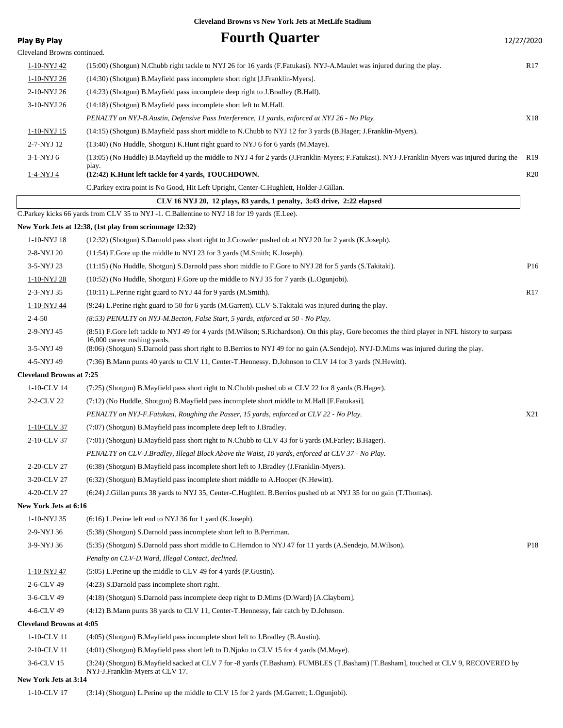| <b>Play By Play</b>             | <b>Fourth Quarter</b>                                                                                                                                               | 12/27/2020      |
|---------------------------------|---------------------------------------------------------------------------------------------------------------------------------------------------------------------|-----------------|
| Cleveland Browns continued.     |                                                                                                                                                                     |                 |
| <u>1-10-NYJ 42</u>              | (15:00) (Shotgun) N.Chubb right tackle to NYJ 26 for 16 yards (F.Fatukasi). NYJ-A.Maulet was injured during the play.                                               | R <sub>17</sub> |
| 1-10-NYJ 26                     | (14:30) (Shotgun) B. Mayfield pass incomplete short right [J. Franklin-Myers].                                                                                      |                 |
| 2-10-NYJ 26                     | (14:23) (Shotgun) B.Mayfield pass incomplete deep right to J.Bradley (B.Hall).                                                                                      |                 |
| 3-10-NYJ 26                     | (14:18) (Shotgun) B. Mayfield pass incomplete short left to M. Hall.                                                                                                |                 |
|                                 | PENALTY on NYJ-B.Austin, Defensive Pass Interference, 11 yards, enforced at NYJ 26 - No Play.                                                                       | X18             |
| 1-10-NYJ 15                     | (14:15) (Shotgun) B. Mayfield pass short middle to N. Chubb to NYJ 12 for 3 yards (B. Hager; J. Franklin-Myers).                                                    |                 |
| 2-7-NYJ 12                      | (13:40) (No Huddle, Shotgun) K. Hunt right guard to NYJ 6 for 6 yards (M. Maye).                                                                                    |                 |
| 3-1-NYJ 6                       | (13:05) (No Huddle) B. Mayfield up the middle to NYJ 4 for 2 yards (J. Franklin-Myers; F. Fatukasi). NYJ-J. Franklin-Myers was injured during the                   | R <sub>19</sub> |
| <u>1-4-NYJ 4</u>                | play.<br>(12:42) K.Hunt left tackle for 4 yards, TOUCHDOWN.                                                                                                         | R20             |
|                                 | C. Parkey extra point is No Good, Hit Left Upright, Center-C. Hughlett, Holder-J. Gillan.                                                                           |                 |
|                                 | CLV 16 NYJ 20, 12 plays, 83 yards, 1 penalty, 3:43 drive, 2:22 elapsed                                                                                              |                 |
|                                 | C.Parkey kicks 66 yards from CLV 35 to NYJ -1. C.Ballentine to NYJ 18 for 19 yards (E.Lee).                                                                         |                 |
|                                 | New York Jets at 12:38, (1st play from scrimmage 12:32)                                                                                                             |                 |
| 1-10-NYJ 18                     | (12:32) (Shotgun) S.Darnold pass short right to J.Crowder pushed ob at NYJ 20 for 2 yards (K.Joseph).                                                               |                 |
| 2-8-NYJ 20                      | (11:54) F.Gore up the middle to NYJ 23 for 3 yards (M.Smith; K.Joseph).                                                                                             |                 |
| 3-5-NYJ 23                      | (11:15) (No Huddle, Shotgun) S.Darnold pass short middle to F.Gore to NYJ 28 for 5 yards (S.Takitaki).                                                              | P <sub>16</sub> |
| 1-10-NYJ 28                     | (10:52) (No Huddle, Shotgun) F.Gore up the middle to NYJ 35 for 7 yards (L.Ogunjobi).                                                                               |                 |
| 2-3-NYJ 35                      | $(10:11)$ L. Perine right guard to NYJ 44 for 9 yards $(M.Smith)$ .                                                                                                 | R17             |
| <u>1-10-NYJ 44</u>              | (9:24) L.Perine right guard to 50 for 6 yards (M.Garrett). CLV-S.Takitaki was injured during the play.                                                              |                 |
| $2 - 4 - 50$                    | (8:53) PENALTY on NYJ-M.Becton, False Start, 5 yards, enforced at 50 - No Play.                                                                                     |                 |
| 2-9-NYJ 45                      | (8:51) F.Gore left tackle to NYJ 49 for 4 yards (M.Wilson; S.Richardson). On this play, Gore becomes the third player in NFL history to surpass                     |                 |
| 3-5-NYJ 49                      | 16,000 career rushing yards.<br>(8:06) (Shotgun) S.Darnold pass short right to B.Berrios to NYJ 49 for no gain (A.Sendejo). NYJ-D.Mims was injured during the play. |                 |
| 4-5-NYJ 49                      | (7:36) B.Mann punts 40 yards to CLV 11, Center-T.Hennessy. D.Johnson to CLV 14 for 3 yards (N.Hewitt).                                                              |                 |
| <b>Cleveland Browns at 7:25</b> |                                                                                                                                                                     |                 |
| 1-10-CLV 14                     | (7:25) (Shotgun) B.Mayfield pass short right to N.Chubb pushed ob at CLV 22 for 8 yards (B.Hager).                                                                  |                 |
| 2-2-CLV 22                      | (7:12) (No Huddle, Shotgun) B.Mayfield pass incomplete short middle to M.Hall [F.Fatukasi].                                                                         |                 |
|                                 | PENALTY on NYJ-F.Fatukasi, Roughing the Passer, 15 yards, enforced at CLV 22 - No Play.                                                                             | X21             |
| 1-10-CLV 37                     | (7:07) (Shotgun) B. Mayfield pass incomplete deep left to J. Bradley.                                                                                               |                 |
| 2-10-CLV 37                     | (7:01) (Shotgun) B. Mayfield pass short right to N. Chubb to CLV 43 for 6 yards (M. Farley; B. Hager).                                                              |                 |
|                                 | PENALTY on CLV-J.Bradley, Illegal Block Above the Waist, 10 yards, enforced at CLV 37 - No Play.                                                                    |                 |
| 2-20-CLV 27                     | (6:38) (Shotgun) B.Mayfield pass incomplete short left to J.Bradley (J.Franklin-Myers).                                                                             |                 |
| 3-20-CLV 27                     | (6:32) (Shotgun) B.Mayfield pass incomplete short middle to A.Hooper (N.Hewitt).                                                                                    |                 |
| 4-20-CLV 27                     | (6:24) J.Gillan punts 38 yards to NYJ 35, Center-C.Hughlett. B.Berrios pushed ob at NYJ 35 for no gain (T.Thomas).                                                  |                 |
| New York Jets at 6:16           |                                                                                                                                                                     |                 |
| 1-10-NYJ 35                     | $(6:16)$ L. Perine left end to NYJ 36 for 1 yard (K. Joseph).                                                                                                       |                 |
| 2-9-NYJ 36                      | (5:38) (Shotgun) S.Darnold pass incomplete short left to B.Perriman.                                                                                                |                 |
| 3-9-NYJ 36                      | (5:35) (Shotgun) S.Darnold pass short middle to C.Herndon to NYJ 47 for 11 yards (A.Sendejo, M.Wilson).                                                             | P18             |
|                                 | Penalty on CLV-D. Ward, Illegal Contact, declined.                                                                                                                  |                 |
| 1-10-NYJ 47                     | (5:05) L.Perine up the middle to CLV 49 for 4 yards (P.Gustin).                                                                                                     |                 |
| 2-6-CLV 49                      | (4:23) S.Darnold pass incomplete short right.                                                                                                                       |                 |
| 3-6-CLV 49                      | (4:18) (Shotgun) S.Darnold pass incomplete deep right to D.Mims (D.Ward) [A.Clayborn].                                                                              |                 |
| 4-6-CLV 49                      | (4:12) B. Mann punts 38 yards to CLV 11, Center-T. Hennessy, fair catch by D. Johnson.                                                                              |                 |
| <b>Cleveland Browns at 4:05</b> |                                                                                                                                                                     |                 |
| 1-10-CLV 11                     | (4:05) (Shotgun) B.Mayfield pass incomplete short left to J.Bradley (B.Austin).                                                                                     |                 |
| 2-10-CLV 11                     | (4:01) (Shotgun) B.Mayfield pass short left to D.Njoku to CLV 15 for 4 yards (M.Maye).                                                                              |                 |
| 3-6-CLV 15                      | (3:24) (Shotgun) B.Mayfield sacked at CLV 7 for -8 yards (T.Basham). FUMBLES (T.Basham) [T.Basham], touched at CLV 9, RECOVERED by                                  |                 |
| New York Jets at 3:14           | NYJ-J.Franklin-Myers at CLV 17.                                                                                                                                     |                 |
| 1-10-CLV 17                     | (3:14) (Shotgun) L.Perine up the middle to CLV 15 for 2 yards (M.Garrett; L.Ogunjobi).                                                                              |                 |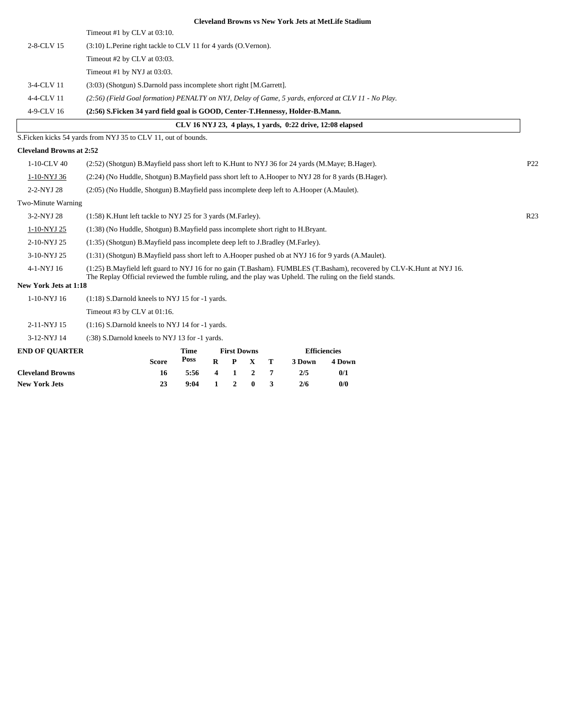|                                 |                                                                                                                                                                                                                                   |                                                                                                        |                    |                    |                  |   |        | <b>Cleveland Browns vs New York Jets at MetLife Stadium</b> |  |                 |                 |  |
|---------------------------------|-----------------------------------------------------------------------------------------------------------------------------------------------------------------------------------------------------------------------------------|--------------------------------------------------------------------------------------------------------|--------------------|--------------------|------------------|---|--------|-------------------------------------------------------------|--|-----------------|-----------------|--|
|                                 | Timeout #1 by CLV at 03:10.                                                                                                                                                                                                       |                                                                                                        |                    |                    |                  |   |        |                                                             |  |                 |                 |  |
| 2-8-CLV 15                      | (3:10) L.Perine right tackle to CLV 11 for 4 yards (O.Vernon).                                                                                                                                                                    |                                                                                                        |                    |                    |                  |   |        |                                                             |  |                 |                 |  |
|                                 | Timeout #2 by CLV at 03:03.                                                                                                                                                                                                       |                                                                                                        |                    |                    |                  |   |        |                                                             |  |                 |                 |  |
|                                 | Timeout #1 by NYJ at 03:03.                                                                                                                                                                                                       |                                                                                                        |                    |                    |                  |   |        |                                                             |  |                 |                 |  |
| 3-4-CLV 11                      | (3:03) (Shotgun) S.Darnold pass incomplete short right [M.Garrett].                                                                                                                                                               |                                                                                                        |                    |                    |                  |   |        |                                                             |  |                 |                 |  |
| 4-4-CLV 11                      | (2:56) (Field Goal formation) PENALTY on NYJ, Delay of Game, 5 yards, enforced at CLV 11 - No Play.                                                                                                                               |                                                                                                        |                    |                    |                  |   |        |                                                             |  |                 |                 |  |
| 4-9-CLV 16                      | (2:56) S.Ficken 34 vard field goal is GOOD, Center-T.Hennessy, Holder-B.Mann.                                                                                                                                                     |                                                                                                        |                    |                    |                  |   |        |                                                             |  |                 |                 |  |
|                                 |                                                                                                                                                                                                                                   |                                                                                                        |                    |                    |                  |   |        | CLV 16 NYJ 23, 4 plays, 1 vards, 0:22 drive, 12:08 elapsed  |  |                 |                 |  |
|                                 | S. Ficken kicks 54 yards from NYJ 35 to CLV 11, out of bounds.                                                                                                                                                                    |                                                                                                        |                    |                    |                  |   |        |                                                             |  |                 |                 |  |
| <b>Cleveland Browns at 2:52</b> |                                                                                                                                                                                                                                   |                                                                                                        |                    |                    |                  |   |        |                                                             |  |                 |                 |  |
| 1-10-CLV 40                     | (2.52) (Shotgun) B. Mayfield pass short left to K. Hunt to NYJ 36 for 24 yards (M. Maye; B. Hager).                                                                                                                               |                                                                                                        |                    |                    |                  |   |        |                                                             |  |                 | P <sub>22</sub> |  |
| 1-10-NYJ 36                     |                                                                                                                                                                                                                                   | (2:24) (No Huddle, Shotgun) B. Mayfield pass short left to A. Hooper to NYJ 28 for 8 yards (B. Hager). |                    |                    |                  |   |        |                                                             |  |                 |                 |  |
| 2-2-NYJ 28                      | (2:05) (No Huddle, Shotgun) B.Mayfield pass incomplete deep left to A.Hooper (A.Maulet).                                                                                                                                          |                                                                                                        |                    |                    |                  |   |        |                                                             |  |                 |                 |  |
| Two-Minute Warning              |                                                                                                                                                                                                                                   |                                                                                                        |                    |                    |                  |   |        |                                                             |  |                 |                 |  |
| 3-2-NYJ 28                      | (1:58) K. Hunt left tackle to NYJ 25 for 3 yards (M. Farley).                                                                                                                                                                     |                                                                                                        |                    |                    |                  |   |        |                                                             |  | R <sub>23</sub> |                 |  |
| 1-10-NYJ 25                     | (1:38) (No Huddle, Shotgun) B. Mayfield pass incomplete short right to H. Bryant.                                                                                                                                                 |                                                                                                        |                    |                    |                  |   |        |                                                             |  |                 |                 |  |
| 2-10-NYJ 25                     | (1:35) (Shotgun) B.Mayfield pass incomplete deep left to J.Bradley (M.Farley).                                                                                                                                                    |                                                                                                        |                    |                    |                  |   |        |                                                             |  |                 |                 |  |
| 3-10-NYJ 25                     | (1:31) (Shotgun) B.Mayfield pass short left to A.Hooper pushed ob at NYJ 16 for 9 yards (A.Maulet).                                                                                                                               |                                                                                                        |                    |                    |                  |   |        |                                                             |  |                 |                 |  |
| 4-1-NYJ 16                      | (1:25) B.Mayfield left guard to NYJ 16 for no gain (T.Basham). FUMBLES (T.Basham), recovered by CLV-K.Hunt at NYJ 16.<br>The Replay Official reviewed the fumble ruling, and the play was Upheld. The ruling on the field stands. |                                                                                                        |                    |                    |                  |   |        |                                                             |  |                 |                 |  |
| New York Jets at 1:18           |                                                                                                                                                                                                                                   |                                                                                                        |                    |                    |                  |   |        |                                                             |  |                 |                 |  |
| 1-10-NYJ 16                     | (1:18) S.Darnold kneels to NYJ 15 for -1 yards.                                                                                                                                                                                   |                                                                                                        |                    |                    |                  |   |        |                                                             |  |                 |                 |  |
|                                 | Timeout #3 by CLV at 01:16.                                                                                                                                                                                                       |                                                                                                        |                    |                    |                  |   |        |                                                             |  |                 |                 |  |
| 2-11-NYJ 15                     | $(1:16)$ S.Darnold kneels to NYJ 14 for -1 yards.                                                                                                                                                                                 |                                                                                                        |                    |                    |                  |   |        |                                                             |  |                 |                 |  |
| 3-12-NYJ 14                     | (:38) S.Darnold kneels to NYJ 13 for -1 yards.                                                                                                                                                                                    |                                                                                                        |                    |                    |                  |   |        |                                                             |  |                 |                 |  |
| <b>END OF QUARTER</b>           |                                                                                                                                                                                                                                   | Time                                                                                                   |                    | <b>First Downs</b> |                  |   |        | <b>Efficiencies</b>                                         |  |                 |                 |  |
|                                 | <b>Score</b>                                                                                                                                                                                                                      | Poss                                                                                                   | R                  | P                  | $\mathbf{X}$     | т | 3 Down | 4 Down                                                      |  |                 |                 |  |
| <b>Cleveland Browns</b>         | 16                                                                                                                                                                                                                                | 5:56                                                                                                   | $\overline{\bf 4}$ | 1                  | $\boldsymbol{2}$ | 7 | 2/5    | 0/1                                                         |  |                 |                 |  |
| <b>New York Jets</b>            | 23                                                                                                                                                                                                                                | 9:04                                                                                                   | $\mathbf{1}$       | $\boldsymbol{2}$   | $\bf{0}$         | 3 | 2/6    | 0/0                                                         |  |                 |                 |  |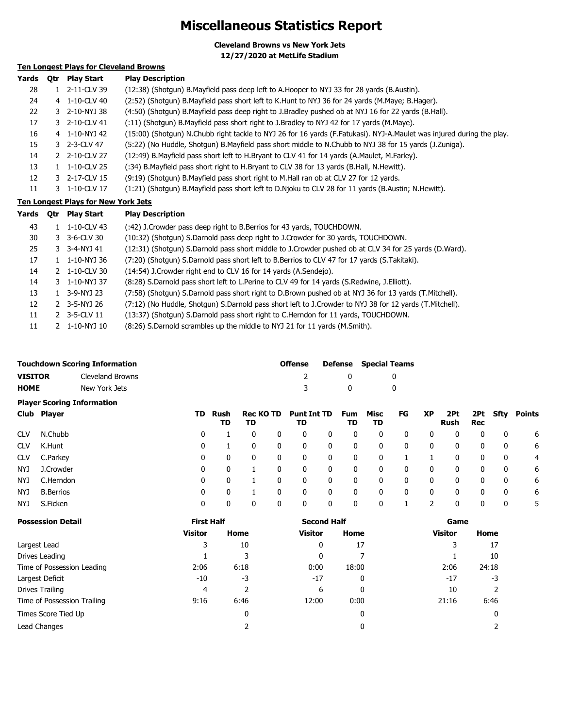## **Miscellaneous Statistics Report**

**Cleveland Browns vs New York Jets**

**12/27/2020 at MetLife Stadium**

### **Ten Longest Plays for Cleveland Browns**

| 0tr | <b>Play Start</b> | <b>Play Description</b>                                                                                                                              |
|-----|-------------------|------------------------------------------------------------------------------------------------------------------------------------------------------|
|     |                   | (12:38) (Shotgun) B.Mayfield pass deep left to A.Hooper to NYJ 33 for 28 yards (B.Austin).                                                           |
|     |                   | (2:52) (Shotgun) B.Mayfield pass short left to K.Hunt to NYJ 36 for 24 yards (M.Maye; B.Hager).                                                      |
|     |                   | (4:50) (Shotgun) B.Mayfield pass deep right to J.Bradley pushed ob at NYJ 16 for 22 yards (B.Hall).                                                  |
|     |                   | (:11) (Shotgun) B.Mayfield pass short right to J.Bradley to NYJ 42 for 17 yards (M.Maye).                                                            |
|     |                   | (15:00) (Shotgun) N.Chubb right tackle to NYJ 26 for 16 yards (F.Fatukasi). NYJ-A.Maulet was injured during the play.                                |
|     |                   | (5:22) (No Huddle, Shotgun) B.Mayfield pass short middle to N.Chubb to NYJ 38 for 15 yards (J.Zuniga).                                               |
|     |                   | (12:49) B. Mayfield pass short left to H. Bryant to CLV 41 for 14 yards (A. Maulet, M. Farley).                                                      |
|     | 1-10-CLV 25       | (:34) B.Mayfield pass short right to H.Bryant to CLV 38 for 13 yards (B.Hall, N.Hewitt).                                                             |
|     |                   | (9:19) (Shotqun) B. Mayfield pass short right to M. Hall ran ob at CLV 27 for 12 yards.                                                              |
|     |                   | (1:21) (Shotgun) B.Mayfield pass short left to D.Njoku to CLV 28 for 11 yards (B.Austin; N.Hewitt).                                                  |
|     |                   | 1 2-11-CLV 39<br>4 1-10-CLV 40<br>3 2-10-NYJ 38<br>3 2-10-CLV 41<br>4 1-10-NYJ 42<br>3 2-3-CLV 47<br>2 2-10-CLV 27<br>3 2-17-CLV 15<br>3 1-10-CLV 17 |

### **Ten Longest Plays for New York Jets**

| Yards | <b>Otr</b> | Play Start                | <b>Play Description</b>                                                                                 |
|-------|------------|---------------------------|---------------------------------------------------------------------------------------------------------|
| 43    |            | 1-10-CLV 43               | (:42) J. Crowder pass deep right to B. Berrios for 43 yards, TOUCHDOWN.                                 |
| 30    |            | $3 - 3 - 6 - CLV$ 30      | (10:32) (Shotgun) S.Darnold pass deep right to J.Crowder for 30 yards, TOUCHDOWN.                       |
| 25    |            | $3 - 3 - 4 - NY$ 41       | (12:31) (Shotgun) S.Darnold pass short middle to J.Crowder pushed ob at CLV 34 for 25 yards (D.Ward).   |
| 17    |            | $1 \quad 1 - 10 - NYJ$ 36 | (7:20) (Shotgun) S.Darnold pass short left to B.Berrios to CLV 47 for 17 yards (S.Takitaki).            |
| 14    |            | $2 \quad 1 - 10 - CLV$ 30 | (14:54) J. Crowder right end to CLV 16 for 14 yards (A. Sendejo).                                       |
| 14    |            | 3 1-10-NYJ 37             | (8:28) S.Darnold pass short left to L.Perine to CLV 49 for 14 yards (S.Redwine, J.Elliott).             |
| 13    |            | 3-9-NYJ 23                | (7:58) (Shotgun) S.Darnold pass short right to D.Brown pushed ob at NYJ 36 for 13 yards (T.Mitchell).   |
| 12    |            | $2 \quad 3 - 5 - NYJ$ 26  | (7:12) (No Huddle, Shotgun) S.Darnold pass short left to J.Crowder to NYJ 38 for 12 yards (T.Mitchell). |
| 11    |            | 2 3-5-CLV 11              | (13:37) (Shotgun) S.Darnold pass short right to C.Herndon for 11 yards, TOUCHDOWN.                      |
| 11    |            | $2 \quad 1 - 10 - NYJ10$  | (8:26) S.Darnold scrambles up the middle to NYJ 21 for 11 yards (M.Smith).                              |

|                | <b>Touchdown Scoring Information</b> | <b>Offense</b> |              | <b>Defense</b> Special Teams |
|----------------|--------------------------------------|----------------|--------------|------------------------------|
| <b>VISITOR</b> | Cleveland Browns                     |                | $\mathbf{0}$ |                              |
| <b>HOME</b>    | New York Jets                        |                | $\mathbf{0}$ |                              |

### **Player Scoring Information**

|            | Club Player      | TD | Rush<br>TD | Rec KO TD<br>TD |          | <b>Punt Int TD</b><br>TD |   | Fum<br>TD | Misc<br>TD   | FG | <b>XP</b> | 2Pt<br>Rush | Rec |   | 2Pt Sfty Points |
|------------|------------------|----|------------|-----------------|----------|--------------------------|---|-----------|--------------|----|-----------|-------------|-----|---|-----------------|
| <b>CLV</b> | N.Chubb          | 0  |            | $\Omega$        | 0        |                          | 0 | 0         | 0            | 0  | 0         | 0           | 0   | 0 | 6               |
| <b>CLV</b> | K.Hunt           | 0  |            | 0               | 0        | 0                        | 0 | 0         | 0            | 0  | 0         | 0           | 0   | 0 | 6               |
| <b>CLV</b> | C.Parkey         | 0  | 0          | 0               | 0        | 0                        | 0 | 0         | 0            |    |           | 0           | 0   | 0 | -4              |
| NYJ.       | J.Crowder        | 0  | 0          |                 | 0        |                          | 0 | 0         | 0            | 0  | 0         | 0           | 0   | 0 | 6               |
| NYJ.       | C.Herndon        | 0  | 0          |                 | $\Omega$ | 0                        | 0 | 0         | 0            | 0  | 0         | 0           | 0   | 0 | 6               |
| NYJ        | <b>B.Berrios</b> | 0  | 0          |                 |          |                          | 0 | 0         | $\mathbf{0}$ |    | 0         | 0           | 0   | 0 | 6               |
| NYJ        | S.Ficken         | 0  | 0          | 0               |          |                          | 0 | 0         | 0            |    |           |             | 0   | 0 | 5               |

| <b>Possession Detail</b>    | <b>First Half</b> |      | <b>Second Half</b> |       | Game           |       |
|-----------------------------|-------------------|------|--------------------|-------|----------------|-------|
|                             | <b>Visitor</b>    | Home | <b>Visitor</b>     | Home  | <b>Visitor</b> | Home  |
| Largest Lead                | 3                 | 10   | 0                  | 17    | 3              | 17    |
| Drives Leading              |                   | 3    | 0                  |       |                | 10    |
| Time of Possession Leading  | 2:06              | 6:18 | 0:00               | 18:00 | 2:06           | 24:18 |
| Largest Deficit             | $-10$             | -3   | $-17$              | 0     | $-17$          | -3    |
| Drives Trailing             | 4                 |      | 6                  | 0     | 10             |       |
| Time of Possession Trailing | 9:16              | 6:46 | 12:00              | 0:00  | 21:16          | 6:46  |
| Times Score Tied Up         |                   | 0    |                    |       |                | 0     |
| Lead Changes                |                   |      |                    |       |                |       |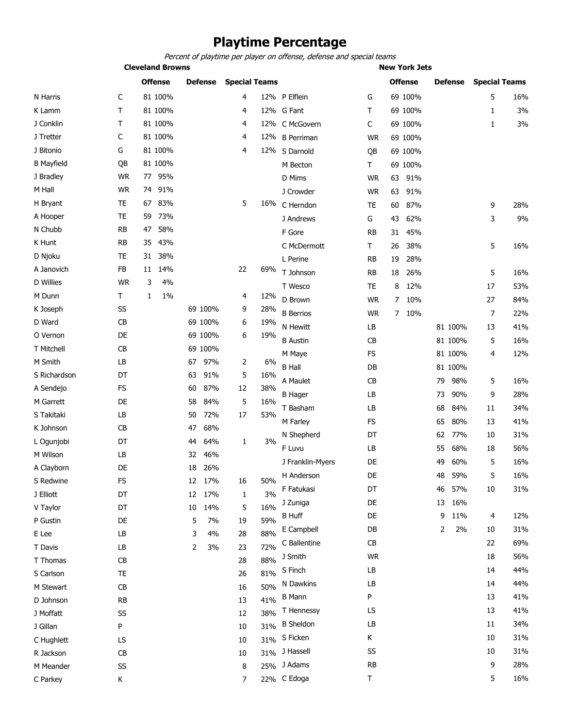# **Playtime Percentage**

Percent of playtime per player on offense, defense and special teams

**Cleveland Browns New York Jets** 

|                   |               | <b>Offense</b> | <b>Defense</b> | <b>Special Teams</b> |     |                  |               | <b>Offense</b>        | <b>Defense</b> | <b>Special Teams</b> |     |
|-------------------|---------------|----------------|----------------|----------------------|-----|------------------|---------------|-----------------------|----------------|----------------------|-----|
| N Harris          | C             | 81 100%        |                | 4                    |     | 12% P Elflein    | G             | 69 100%               |                | 5                    | 16% |
| K Lamm            | T             | 81 100%        |                | 4                    |     | 12% G Fant       | т             | 69 100%               |                | $\mathbf{1}$         | 3%  |
| J Conklin         | т             | 81 100%        |                | 4                    |     | 12% C McGovern   | C             | 69 100%               |                | 1                    | 3%  |
| J Tretter         | C             | 81 100%        |                | 4                    |     | 12% B Perriman   | <b>WR</b>     | 69 100%               |                |                      |     |
| J Bitonio         | G             | 81 100%        |                | 4                    |     | 12% S Darnold    | QB            | 69 100%               |                |                      |     |
| <b>B</b> Mayfield | QB            | 81 100%        |                |                      |     | M Becton         | Τ             | 69 100%               |                |                      |     |
| J Bradley         | <b>WR</b>     | 95%<br>77      |                |                      |     | D Mims           | <b>WR</b>     | 63<br>91%             |                |                      |     |
| M Hall            | <b>WR</b>     | 74 91%         |                |                      |     | J Crowder        | <b>WR</b>     | 63<br>91%             |                |                      |     |
| H Bryant          | <b>TE</b>     | 83%<br>67      |                | 5                    | 16% | C Herndon        | TE            | 87%<br>60             |                | 9                    | 28% |
| A Hooper          | TE            | 73%<br>59      |                |                      |     | J Andrews        | G             | 43<br>62%             |                | 3                    | 9%  |
| N Chubb           | <b>RB</b>     | 58%<br>47      |                |                      |     | F Gore           | RB            | 45%<br>31             |                |                      |     |
| K Hunt            | <b>RB</b>     | 43%<br>35      |                |                      |     | C McDermott      | Τ             | 26<br>38%             |                | 5                    | 16% |
| D Njoku           | TE            | 31 38%         |                |                      |     | L Perine         | RB            | 19<br>28%             |                |                      |     |
| A Janovich        | FB            | 14%<br>11      |                | 22                   | 69% | T Johnson        | RB            | 18<br>26%             |                | 5                    | 16% |
| <b>D</b> Willies  | <b>WR</b>     | 3<br>4%        |                |                      |     | T Wesco          | TE            | 8<br>12%              |                | 17                   | 53% |
| M Dunn            | Τ             | 1%<br>1        |                | 4                    | 12% | D Brown          | <b>WR</b>     | 10%<br>$\overline{7}$ |                | 27                   | 84% |
| K Joseph          | SS            |                | 69 100%        | 9                    | 28% | <b>B</b> Berrios | <b>WR</b>     | $\overline{7}$<br>10% |                | $\overline{7}$       | 22% |
| D Ward            | <b>CB</b>     |                | 69 100%        | 6                    | 19% | N Hewitt         | LB            |                       | 81 100%        | 13                   | 41% |
| O Vernon          | DE            |                | 69 100%        | 6                    | 19% | <b>B</b> Austin  | CВ            |                       | 81 100%        | 5                    | 16% |
| T Mitchell        | <b>CB</b>     |                | 69 100%        |                      |     | M Maye           | <b>FS</b>     |                       | 81 100%        | 4                    | 12% |
| M Smith           | LB            |                | 67<br>97%      | 2                    | 6%  | <b>B</b> Hall    | DB            |                       | 81 100%        |                      |     |
| S Richardson      | DT            |                | 91%<br>63      | 5                    | 16% | A Maulet         | <b>CB</b>     |                       | 98%<br>79      | 5                    | 16% |
| A Sendejo         | <b>FS</b>     |                | 87%<br>60      | 12                   | 38% | <b>B</b> Hager   | LB            |                       | 90%<br>73      | 9                    | 28% |
| M Garrett         | DE            |                | 58<br>84%      | 5                    | 16% | T Basham         | LB            |                       | 68<br>84%      | 11                   | 34% |
| S Takitaki        | LB            |                | 72%<br>50      | 17                   | 53% |                  | <b>FS</b>     |                       | 80%            | 13                   | 41% |
| K Johnson         | CB            |                | 68%<br>47      |                      |     | M Farley         |               |                       | 65             |                      |     |
| L Ogunjobi        | DT            |                | 64%<br>44      | 1                    | 3%  | N Shepherd       | DT            |                       | 77%<br>62      | 10                   | 31% |
| M Wilson          | LB            |                | 46%<br>32      |                      |     | F Luvu           | LB            |                       | 68%<br>55      | 18                   | 56% |
| A Clayborn        | DE            |                | 18<br>26%      |                      |     | J Franklin-Myers | DE            |                       | 60%<br>49      | 5                    | 16% |
| S Redwine         | FS            |                | 12<br>17%      | 16                   | 50% | H Anderson       | DE            |                       | 48<br>59%      | 5                    | 16% |
| J Elliott         | DT            |                | 12 17%         | 1                    | 3%  | F Fatukasi       | DT            |                       | 57%<br>46      | 10                   | 31% |
| V Taylor          | DT            |                | 10<br>14%      | 5                    | 16% | J Zuniga         | DE            |                       | 16%<br>13      |                      |     |
| P Gustin          | DE            |                | 5<br>7%        | 19                   | 59% | <b>B</b> Huff    | DE            |                       | 11%<br>9       | 4                    | 12% |
| E Lee             | LB            |                | 3<br>4%        | 28                   | 88% | E Campbell       | DB            |                       | 2<br>2%        | 10                   | 31% |
| T Davis           | LB            |                | 2<br>3%        | 23                   | 72% | C Ballentine     | CB            |                       |                | 22                   | 69% |
| T Thomas          | CB            |                |                | 28                   | 88% | J Smith          | <b>WR</b>     |                       |                | 18                   | 56% |
| S Carlson         | TE            |                |                | 26                   | 81% | S Finch          | LB            |                       |                | 14                   | 44% |
| M Stewart         | CB            |                |                | 16                   | 50% | N Dawkins        | LB            |                       |                | 14                   | 44% |
| D Johnson         | $\mathsf{RB}$ |                |                | 13                   | 41% | <b>B</b> Mann    | P             |                       |                | 13                   | 41% |
| J Moffatt         | SS            |                |                | 12                   | 38% | T Hennessy       | LS            |                       |                | 13                   | 41% |
| J Gillan          | P             |                |                | 10                   | 31% | <b>B</b> Sheldon | LB            |                       |                | 11                   | 34% |
| C Hughlett        | LS            |                |                | 10                   | 31% | S Ficken         | Κ             |                       |                | 10                   | 31% |
| R Jackson         | CB            |                |                | 10                   |     | 31% J Hassell    | SS            |                       |                | 10                   | 31% |
| M Meander         | SS            |                |                | 8                    |     | 25% J Adams      | $\mathsf{RB}$ |                       |                | 9                    | 28% |
| C Parkey          | Κ             |                |                | 7                    |     | 22% C Edoga      | T             |                       |                | 5                    | 16% |